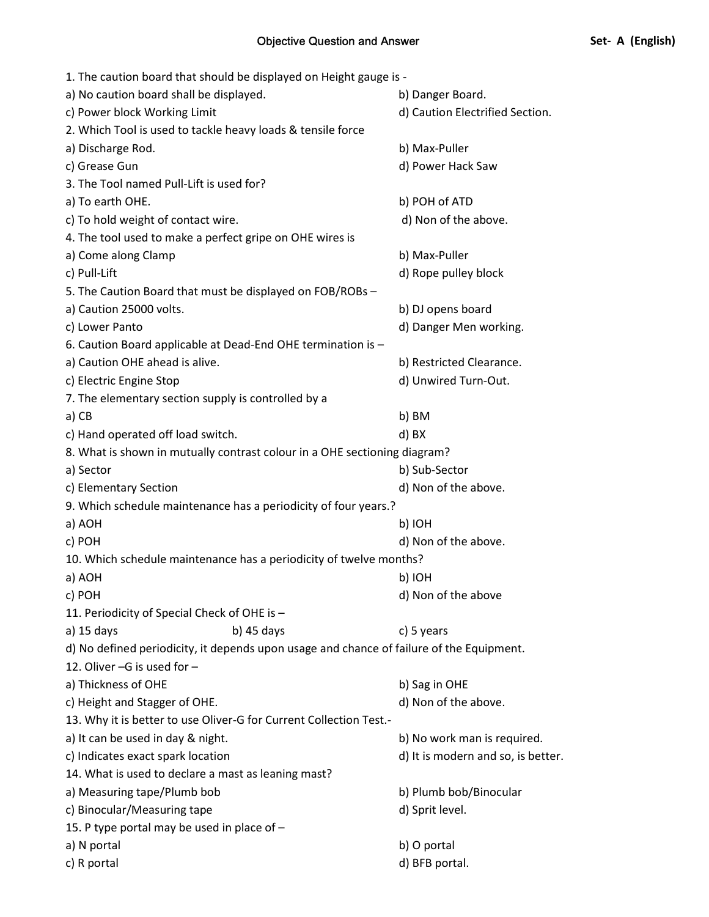| 1. The caution board that should be displayed on Height gauge is -                       |                                    |
|------------------------------------------------------------------------------------------|------------------------------------|
| a) No caution board shall be displayed.                                                  | b) Danger Board.                   |
| c) Power block Working Limit                                                             | d) Caution Electrified Section.    |
| 2. Which Tool is used to tackle heavy loads & tensile force                              |                                    |
| a) Discharge Rod.                                                                        | b) Max-Puller                      |
| c) Grease Gun                                                                            | d) Power Hack Saw                  |
| 3. The Tool named Pull-Lift is used for?                                                 |                                    |
| a) To earth OHE.                                                                         | b) POH of ATD                      |
| c) To hold weight of contact wire.                                                       | d) Non of the above.               |
| 4. The tool used to make a perfect gripe on OHE wires is                                 |                                    |
| a) Come along Clamp                                                                      | b) Max-Puller                      |
| c) Pull-Lift                                                                             | d) Rope pulley block               |
| 5. The Caution Board that must be displayed on FOB/ROBs -                                |                                    |
| a) Caution 25000 volts.                                                                  | b) DJ opens board                  |
| c) Lower Panto                                                                           | d) Danger Men working.             |
| 6. Caution Board applicable at Dead-End OHE termination is -                             |                                    |
| a) Caution OHE ahead is alive.                                                           | b) Restricted Clearance.           |
| c) Electric Engine Stop                                                                  | d) Unwired Turn-Out.               |
| 7. The elementary section supply is controlled by a                                      |                                    |
| a) CB                                                                                    | b) BM                              |
| c) Hand operated off load switch.                                                        | d) BX                              |
| 8. What is shown in mutually contrast colour in a OHE sectioning diagram?                |                                    |
| a) Sector                                                                                | b) Sub-Sector                      |
| c) Elementary Section                                                                    | d) Non of the above.               |
| 9. Which schedule maintenance has a periodicity of four years.?                          |                                    |
| a) AOH                                                                                   | b) IOH                             |
| c) POH                                                                                   | d) Non of the above.               |
| 10. Which schedule maintenance has a periodicity of twelve months?                       |                                    |
| a) AOH                                                                                   | b) IOH                             |
| c) POH                                                                                   | d) Non of the above                |
| 11. Periodicity of Special Check of OHE is -                                             |                                    |
| a) 15 days<br>b) $45$ days                                                               | c) 5 years                         |
| d) No defined periodicity, it depends upon usage and chance of failure of the Equipment. |                                    |
| 12. Oliver -G is used for -                                                              |                                    |
| a) Thickness of OHE                                                                      | b) Sag in OHE                      |
| c) Height and Stagger of OHE.                                                            | d) Non of the above.               |
| 13. Why it is better to use Oliver-G for Current Collection Test.-                       |                                    |
| a) It can be used in day & night.                                                        | b) No work man is required.        |
| c) Indicates exact spark location                                                        | d) It is modern and so, is better. |
| 14. What is used to declare a mast as leaning mast?                                      |                                    |
| a) Measuring tape/Plumb bob                                                              | b) Plumb bob/Binocular             |
| c) Binocular/Measuring tape                                                              | d) Sprit level.                    |
| 15. P type portal may be used in place of -                                              |                                    |
| a) N portal                                                                              | b) O portal                        |
| c) R portal                                                                              | d) BFB portal.                     |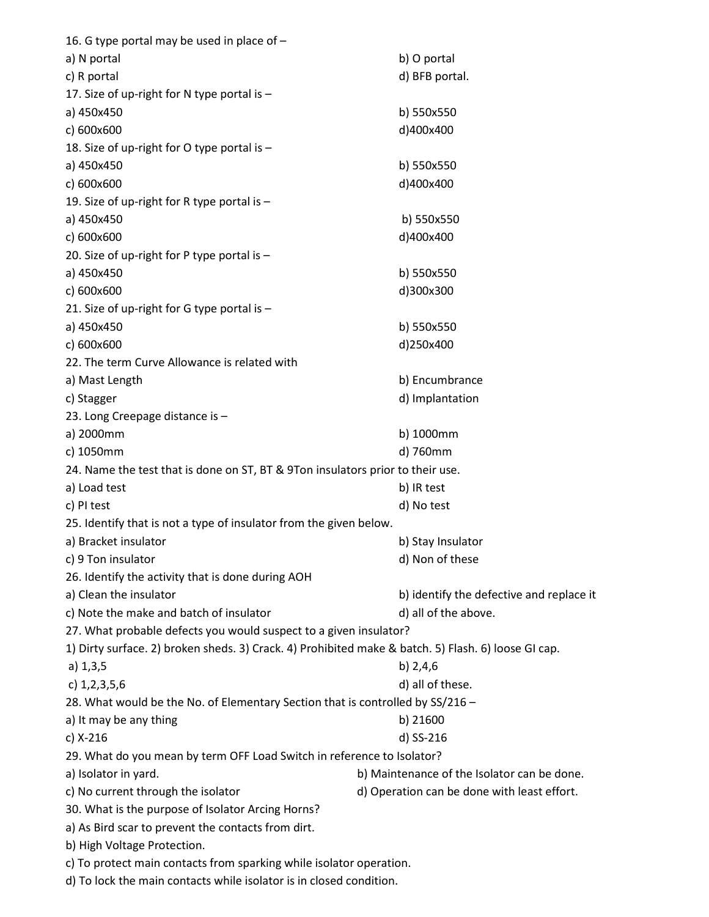| a) N portal<br>b) O portal<br>c) R portal<br>d) BFB portal.<br>17. Size of up-right for N type portal is - |  |
|------------------------------------------------------------------------------------------------------------|--|
|                                                                                                            |  |
|                                                                                                            |  |
|                                                                                                            |  |
| b) 550x550<br>a) 450x450                                                                                   |  |
| c) 600x600<br>d)400x400                                                                                    |  |
| 18. Size of up-right for O type portal is -                                                                |  |
| a) 450x450<br>b) 550x550                                                                                   |  |
| c) 600x600<br>d)400x400                                                                                    |  |
| 19. Size of up-right for R type portal is -                                                                |  |
| a) 450x450<br>b) 550x550                                                                                   |  |
| c) 600x600<br>d)400x400                                                                                    |  |
| 20. Size of up-right for P type portal is -                                                                |  |
| a) 450x450<br>b) 550x550                                                                                   |  |
| c) 600x600<br>d)300x300                                                                                    |  |
| 21. Size of up-right for G type portal is -                                                                |  |
| a) 450x450<br>b) 550x550                                                                                   |  |
| d)250x400<br>c) 600x600                                                                                    |  |
| 22. The term Curve Allowance is related with                                                               |  |
| b) Encumbrance<br>a) Mast Length                                                                           |  |
| d) Implantation<br>c) Stagger                                                                              |  |
| 23. Long Creepage distance is -                                                                            |  |
| a) 2000mm<br>b) 1000mm                                                                                     |  |
| c) 1050mm<br>d) 760mm                                                                                      |  |
| 24. Name the test that is done on ST, BT & 9Ton insulators prior to their use.                             |  |
| a) Load test<br>b) IR test                                                                                 |  |
| c) PI test<br>d) No test                                                                                   |  |
| 25. Identify that is not a type of insulator from the given below.                                         |  |
| a) Bracket insulator<br>b) Stay Insulator                                                                  |  |
| c) 9 Ton insulator<br>d) Non of these                                                                      |  |
| 26. Identify the activity that is done during AOH                                                          |  |
| a) Clean the insulator<br>b) identify the defective and replace it                                         |  |
| c) Note the make and batch of insulator<br>d) all of the above.                                            |  |
| 27. What probable defects you would suspect to a given insulator?                                          |  |
| 1) Dirty surface. 2) broken sheds. 3) Crack. 4) Prohibited make & batch. 5) Flash. 6) loose GI cap.        |  |
| b) $2,4,6$<br>a) 1, 3, 5                                                                                   |  |
| c) $1,2,3,5,6$<br>d) all of these.                                                                         |  |
| 28. What would be the No. of Elementary Section that is controlled by SS/216 -                             |  |
| b) 21600<br>a) It may be any thing                                                                         |  |
| c) X-216<br>d) SS-216                                                                                      |  |
| 29. What do you mean by term OFF Load Switch in reference to Isolator?                                     |  |
| a) Isolator in yard.<br>b) Maintenance of the Isolator can be done.                                        |  |
| c) No current through the isolator<br>d) Operation can be done with least effort.                          |  |
| 30. What is the purpose of Isolator Arcing Horns?                                                          |  |
| a) As Bird scar to prevent the contacts from dirt.                                                         |  |
| b) High Voltage Protection.                                                                                |  |
| c) To protect main contacts from sparking while isolator operation.                                        |  |

d) To lock the main contacts while isolator is in closed condition.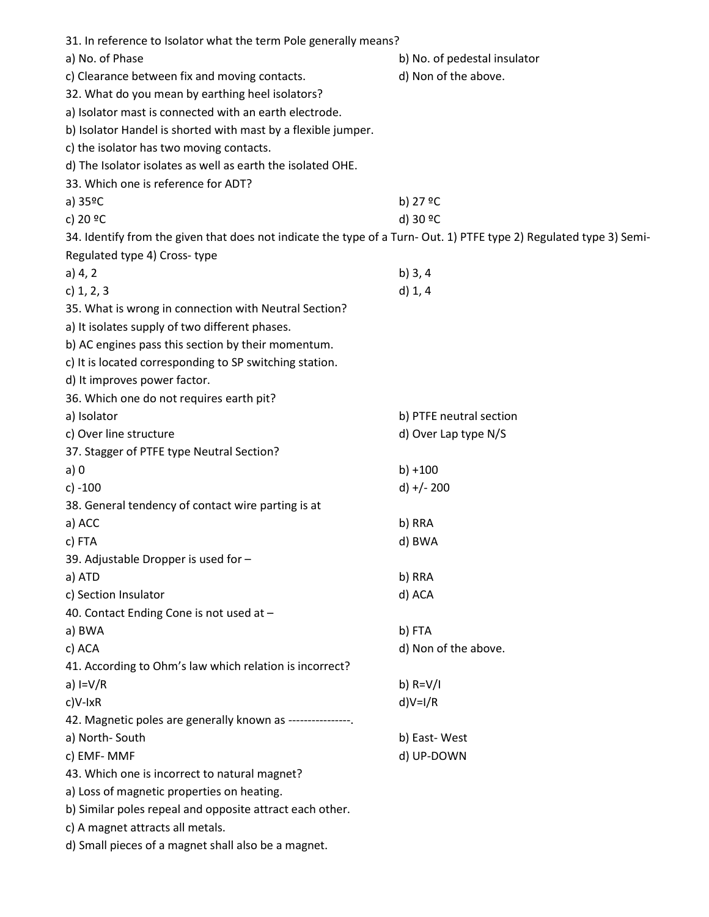| 31. In reference to Isolator what the term Pole generally means?                                                   |                              |
|--------------------------------------------------------------------------------------------------------------------|------------------------------|
| a) No. of Phase                                                                                                    | b) No. of pedestal insulator |
| c) Clearance between fix and moving contacts.                                                                      | d) Non of the above.         |
| 32. What do you mean by earthing heel isolators?                                                                   |                              |
| a) Isolator mast is connected with an earth electrode.                                                             |                              |
| b) Isolator Handel is shorted with mast by a flexible jumper.                                                      |                              |
| c) the isolator has two moving contacts.                                                                           |                              |
| d) The Isolator isolates as well as earth the isolated OHE.                                                        |                              |
| 33. Which one is reference for ADT?                                                                                |                              |
| a) $35^{\circ}$ C                                                                                                  | b) 27 ºC                     |
| c) 20 °C                                                                                                           | d) 30 °C                     |
| 34. Identify from the given that does not indicate the type of a Turn-Out. 1) PTFE type 2) Regulated type 3) Semi- |                              |
| Regulated type 4) Cross-type                                                                                       |                              |
| a) 4, 2                                                                                                            | b) $3, 4$                    |
| c) $1, 2, 3$                                                                                                       | d) 1, 4                      |
| 35. What is wrong in connection with Neutral Section?                                                              |                              |
| a) It isolates supply of two different phases.                                                                     |                              |
| b) AC engines pass this section by their momentum.                                                                 |                              |
| c) It is located corresponding to SP switching station.                                                            |                              |
| d) It improves power factor.                                                                                       |                              |
| 36. Which one do not requires earth pit?                                                                           |                              |
| a) Isolator                                                                                                        | b) PTFE neutral section      |
| c) Over line structure                                                                                             | d) Over Lap type N/S         |
| 37. Stagger of PTFE type Neutral Section?                                                                          |                              |
| a)0                                                                                                                | $b) + 100$                   |
| $c) - 100$                                                                                                         | $d) + (-200$                 |
|                                                                                                                    |                              |
| 38. General tendency of contact wire parting is at                                                                 |                              |
| a) ACC                                                                                                             | b) RRA                       |
| c) FTA                                                                                                             | d) BWA                       |
| 39. Adjustable Dropper is used for -                                                                               |                              |
| a) ATD                                                                                                             | b) RRA                       |
| c) Section Insulator                                                                                               | d) ACA                       |
| 40. Contact Ending Cone is not used at -                                                                           |                              |
| a) BWA                                                                                                             | b) FTA                       |
| c) ACA                                                                                                             | d) Non of the above.         |
| 41. According to Ohm's law which relation is incorrect?                                                            |                              |
| a) $I=V/R$                                                                                                         | b) $R = V/I$                 |
| $c$ )V-lxR                                                                                                         | $d)V=1/R$                    |
| 42. Magnetic poles are generally known as ----------------.                                                        |                              |
| a) North-South                                                                                                     | b) East-West                 |
| c) EMF-MMF                                                                                                         | d) UP-DOWN                   |
| 43. Which one is incorrect to natural magnet?                                                                      |                              |
| a) Loss of magnetic properties on heating.                                                                         |                              |
| b) Similar poles repeal and opposite attract each other.                                                           |                              |
| c) A magnet attracts all metals.                                                                                   |                              |
| d) Small pieces of a magnet shall also be a magnet.                                                                |                              |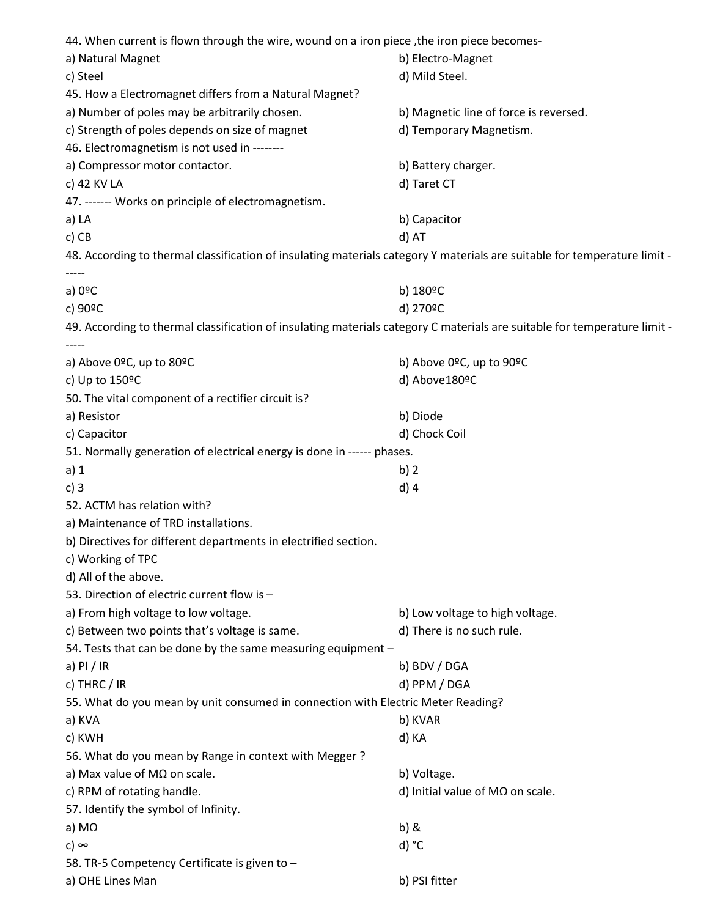44. When current is flown through the wire, wound on a iron piece, the iron piece becomesa) Natural Magnet **b**) Electro-Magnet c) Steel d) Mild Steel. 45. How a Electromagnet differs from a Natural Magnet? a) Number of poles may be arbitrarily chosen. b) Magnetic line of force is reversed. c) Strength of poles depends on size of magnet discussed and Temporary Magnetism. 46. Electromagnetism is not used in ------- a) Compressor motor contactor. b) Battery charger. c) 42 KV LA d) Taret CT 47. ------- Works on principle of electromagnetism. a) LA b) Capacitor c) CB d) AT 48. According to thermal classification of insulating materials category Y materials are suitable for temperature limit - ---- a) 0ºC b) 180ºC c) 90ºC d) 270ºC 49. According to thermal classification of insulating materials category C materials are suitable for temperature limit - ---- a) Above 0ºC, up to 80ºC b) Above 0ºC, up to 90ºC c) Up to 150ºC d) Above180ºC 50. The vital component of a rectifier circuit is? a) Resistor b) Diode c) Capacitor d) Chock Coil 51. Normally generation of electrical energy is done in ------ phases. a) 1 b) 2 c) 3 d) 4 52. ACTM has relation with? a) Maintenance of TRD installations. b) Directives for different departments in electrified section. c) Working of TPC d) All of the above. 53. Direction of electric current flow is – a) From high voltage to low voltage. b) Low voltage to high voltage. c) Between two points that's voltage is same. <br>  $\blacksquare$  d) There is no such rule. 54. Tests that can be done by the same measuring equipment – a) PI / IR b) BDV / DGA c) THRC / IR discussed by the contract of the contract of the contract of the contract of the contract of the contract of the contract of the contract of the contract of the contract of the contract of the contract of the 55. What do you mean by unit consumed in connection with Electric Meter Reading? a) KVA b) KVAR c) KWH d) KA 56. What do you mean by Range in context with Megger ? a) Max value of MΩ on scale. b) Voltage. c) RPM of rotating handle.  $\Box$  d) Initial value of M $\Omega$  on scale. 57. Identify the symbol of Infinity. a) M $\Omega$  b) & c) ∞ d)  $^{\circ}$ C 58. TR-5 Competency Certificate is given to – a) OHE Lines Man b) PSI fitter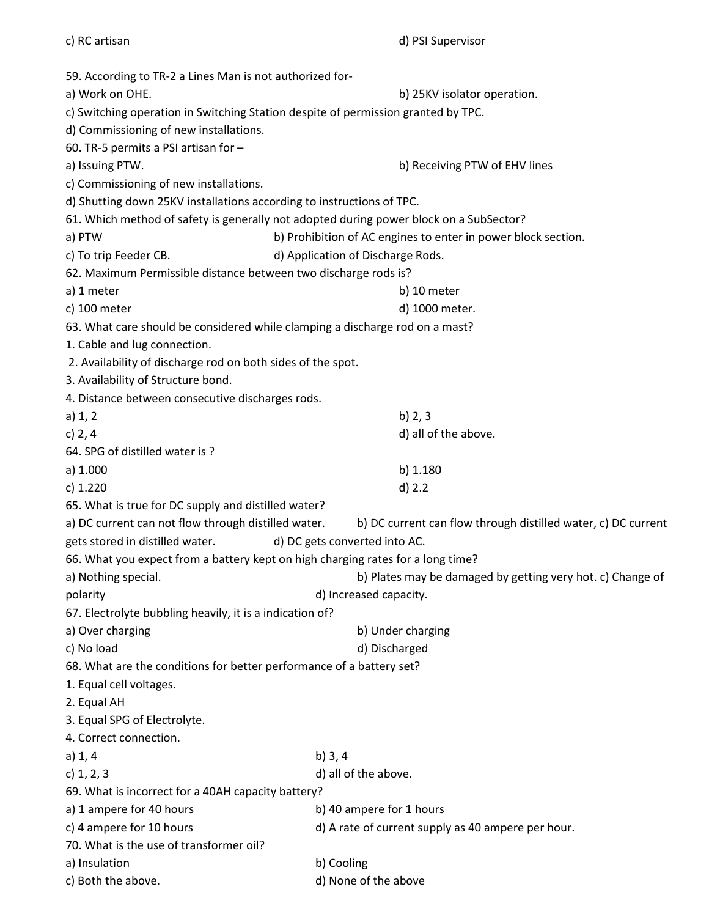| c) RC artisan                                                                          | d) PSI Supervisor                                             |  |
|----------------------------------------------------------------------------------------|---------------------------------------------------------------|--|
| 59. According to TR-2 a Lines Man is not authorized for-                               |                                                               |  |
| a) Work on OHE.                                                                        | b) 25KV isolator operation.                                   |  |
| c) Switching operation in Switching Station despite of permission granted by TPC.      |                                                               |  |
| d) Commissioning of new installations.                                                 |                                                               |  |
| 60. TR-5 permits a PSI artisan for -                                                   |                                                               |  |
| a) Issuing PTW.                                                                        | b) Receiving PTW of EHV lines                                 |  |
| c) Commissioning of new installations.                                                 |                                                               |  |
| d) Shutting down 25KV installations according to instructions of TPC.                  |                                                               |  |
|                                                                                        |                                                               |  |
| 61. Which method of safety is generally not adopted during power block on a SubSector? |                                                               |  |
| a) PTW                                                                                 | b) Prohibition of AC engines to enter in power block section. |  |
| c) To trip Feeder CB.                                                                  | d) Application of Discharge Rods.                             |  |
| 62. Maximum Permissible distance between two discharge rods is?                        |                                                               |  |
| a) 1 meter                                                                             | b) 10 meter                                                   |  |
| c) 100 meter                                                                           | d) 1000 meter.                                                |  |
| 63. What care should be considered while clamping a discharge rod on a mast?           |                                                               |  |
| 1. Cable and lug connection.                                                           |                                                               |  |
| 2. Availability of discharge rod on both sides of the spot.                            |                                                               |  |
| 3. Availability of Structure bond.                                                     |                                                               |  |
| 4. Distance between consecutive discharges rods.                                       |                                                               |  |
| a) 1, 2                                                                                | b) 2, 3                                                       |  |
| c) $2, 4$                                                                              | d) all of the above.                                          |  |
| 64. SPG of distilled water is?                                                         |                                                               |  |
| a) $1.000$                                                                             | b) $1.180$                                                    |  |
| c) 1.220                                                                               | $d)$ 2.2                                                      |  |
| 65. What is true for DC supply and distilled water?                                    |                                                               |  |
| a) DC current can not flow through distilled water.                                    | b) DC current can flow through distilled water, c) DC current |  |
| gets stored in distilled water.                                                        | d) DC gets converted into AC.                                 |  |
| 66. What you expect from a battery kept on high charging rates for a long time?        |                                                               |  |
| b) Plates may be damaged by getting very hot. c) Change of<br>a) Nothing special.      |                                                               |  |
| polarity                                                                               | d) Increased capacity.                                        |  |
| 67. Electrolyte bubbling heavily, it is a indication of?                               |                                                               |  |
| a) Over charging                                                                       | b) Under charging                                             |  |
| c) No load                                                                             | d) Discharged                                                 |  |
|                                                                                        |                                                               |  |
| 68. What are the conditions for better performance of a battery set?                   |                                                               |  |
| 1. Equal cell voltages.                                                                |                                                               |  |
| 2. Equal AH                                                                            |                                                               |  |
| 3. Equal SPG of Electrolyte.                                                           |                                                               |  |
| 4. Correct connection.                                                                 |                                                               |  |
| a) 1, 4                                                                                | b) $3, 4$                                                     |  |
| c) $1, 2, 3$                                                                           | d) all of the above.                                          |  |
| 69. What is incorrect for a 40AH capacity battery?                                     |                                                               |  |
| a) 1 ampere for 40 hours                                                               | b) 40 ampere for 1 hours                                      |  |
| c) 4 ampere for 10 hours                                                               | d) A rate of current supply as 40 ampere per hour.            |  |
| 70. What is the use of transformer oil?                                                |                                                               |  |
| a) Insulation                                                                          | b) Cooling                                                    |  |
| c) Both the above.                                                                     | d) None of the above                                          |  |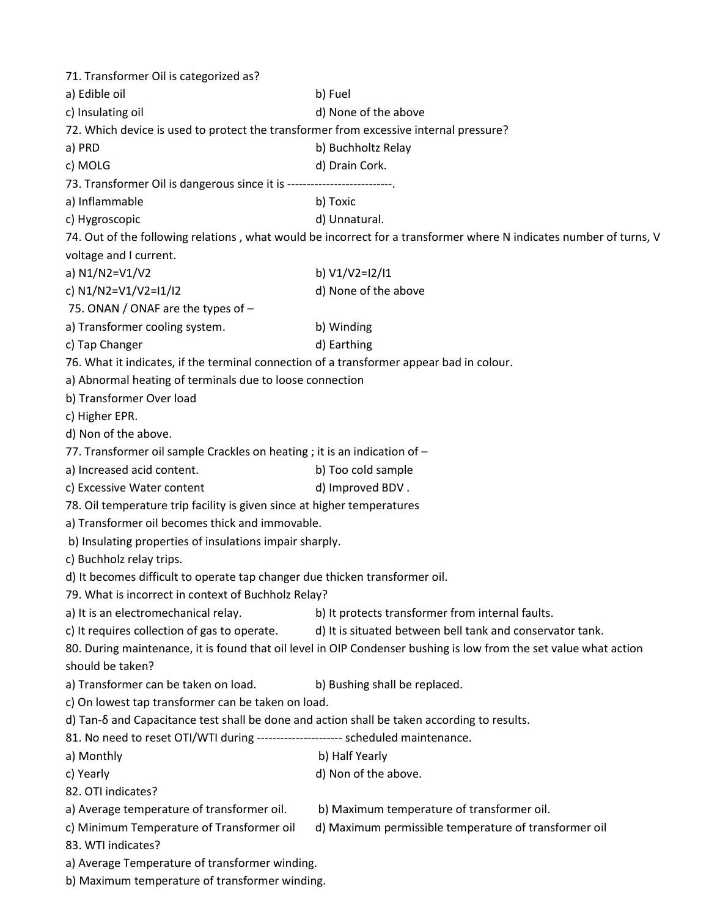71. Transformer Oil is categorized as? a) Edible oil b) Fuel c) Insulating oil and the above d) None of the above 72. Which device is used to protect the transformer from excessive internal pressure? a) PRD b) Buchholtz Relay c) MOLG d) Drain Cork. 73. Transformer Oil is dangerous since it is ----------a) Inflammable b) Toxic c) Hygroscopic d) Unnatural. 74. Out of the following relations , what would be incorrect for a transformer where N indicates number of turns, V voltage and I current. a) N1/N2=V1/V2 b) V1/V2=I2/I1 c)  $N1/N2=V1/V2=11/12$  d) None of the above 75. ONAN / ONAF are the types of – a) Transformer cooling system. b) Winding c) Tap Changer d) Earthing 76. What it indicates, if the terminal connection of a transformer appear bad in colour. a) Abnormal heating of terminals due to loose connection b) Transformer Over load c) Higher EPR. d) Non of the above. 77. Transformer oil sample Crackles on heating ; it is an indication of – a) Increased acid content. b) Too cold sample c) Excessive Water content d) Improved BDV. 78. Oil temperature trip facility is given since at higher temperatures a) Transformer oil becomes thick and immovable. b) Insulating properties of insulations impair sharply. c) Buchholz relay trips. d) It becomes difficult to operate tap changer due thicken transformer oil. 79. What is incorrect in context of Buchholz Relay? a) It is an electromechanical relay. b) It protects transformer from internal faults. c) It requires collection of gas to operate. d) It is situated between bell tank and conservator tank. 80. During maintenance, it is found that oil level in OIP Condenser bushing is low from the set value what action should be taken? a) Transformer can be taken on load. b) Bushing shall be replaced. c) On lowest tap transformer can be taken on load. d) Tan-δ and Capacitance test shall be done and action shall be taken according to results. 81. No need to reset OTI/WTI during ---------------------- scheduled maintenance. a) Monthly b) Half Yearly c) Yearly d) Non of the above. 82. OTI indicates? a) Average temperature of transformer oil. b) Maximum temperature of transformer oil. c) Minimum Temperature of Transformer oil d) Maximum permissible temperature of transformer oil 83. WTI indicates? a) Average Temperature of transformer winding. b) Maximum temperature of transformer winding.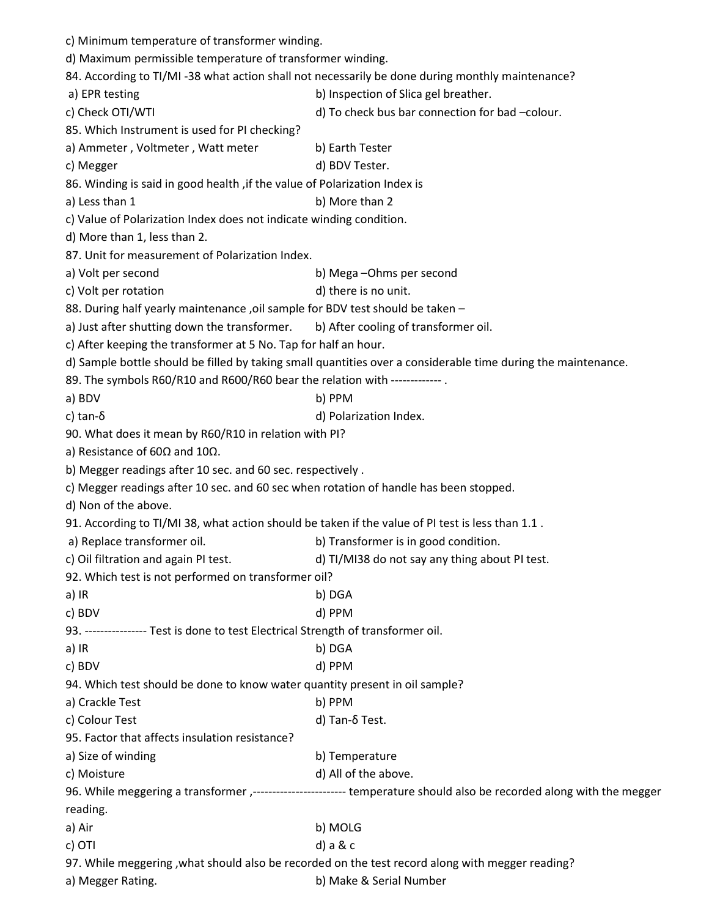| c) Minimum temperature of transformer winding.                                                   |                                                                                                                        |  |
|--------------------------------------------------------------------------------------------------|------------------------------------------------------------------------------------------------------------------------|--|
| d) Maximum permissible temperature of transformer winding.                                       |                                                                                                                        |  |
|                                                                                                  | 84. According to TI/MI -38 what action shall not necessarily be done during monthly maintenance?                       |  |
| a) EPR testing                                                                                   | b) Inspection of Slica gel breather.                                                                                   |  |
| c) Check OTI/WTI                                                                                 | d) To check bus bar connection for bad -colour.                                                                        |  |
| 85. Which Instrument is used for PI checking?                                                    |                                                                                                                        |  |
| a) Ammeter, Voltmeter, Watt meter                                                                | b) Earth Tester                                                                                                        |  |
| c) Megger                                                                                        | d) BDV Tester.                                                                                                         |  |
| 86. Winding is said in good health, if the value of Polarization Index is                        |                                                                                                                        |  |
| a) Less than 1                                                                                   | b) More than 2                                                                                                         |  |
| c) Value of Polarization Index does not indicate winding condition.                              |                                                                                                                        |  |
| d) More than 1, less than 2.                                                                     |                                                                                                                        |  |
| 87. Unit for measurement of Polarization Index.                                                  |                                                                                                                        |  |
| a) Volt per second                                                                               | b) Mega-Ohms per second                                                                                                |  |
| c) Volt per rotation                                                                             | d) there is no unit.                                                                                                   |  |
| 88. During half yearly maintenance, oil sample for BDV test should be taken -                    |                                                                                                                        |  |
| a) Just after shutting down the transformer.                                                     | b) After cooling of transformer oil.                                                                                   |  |
| c) After keeping the transformer at 5 No. Tap for half an hour.                                  |                                                                                                                        |  |
|                                                                                                  | d) Sample bottle should be filled by taking small quantities over a considerable time during the maintenance.          |  |
| 89. The symbols R60/R10 and R600/R60 bear the relation with -------------.                       |                                                                                                                        |  |
| a) BDV                                                                                           | b) PPM                                                                                                                 |  |
| c) tan- $\delta$                                                                                 | d) Polarization Index.                                                                                                 |  |
| 90. What does it mean by R60/R10 in relation with PI?                                            |                                                                                                                        |  |
| a) Resistance of 60 $\Omega$ and 10 $\Omega$ .                                                   |                                                                                                                        |  |
| b) Megger readings after 10 sec. and 60 sec. respectively.                                       |                                                                                                                        |  |
| c) Megger readings after 10 sec. and 60 sec when rotation of handle has been stopped.            |                                                                                                                        |  |
| d) Non of the above.                                                                             |                                                                                                                        |  |
| 91. According to TI/MI 38, what action should be taken if the value of PI test is less than 1.1. |                                                                                                                        |  |
| a) Replace transformer oil.                                                                      | b) Transformer is in good condition.                                                                                   |  |
| c) Oil filtration and again PI test.                                                             | d) TI/MI38 do not say any thing about PI test.                                                                         |  |
| 92. Which test is not performed on transformer oil?                                              |                                                                                                                        |  |
| a) IR                                                                                            | b) DGA                                                                                                                 |  |
| c) BDV                                                                                           | d) PPM                                                                                                                 |  |
| 93. ---------------- Test is done to test Electrical Strength of transformer oil.                |                                                                                                                        |  |
| a) IR                                                                                            | b) DGA                                                                                                                 |  |
| c) BDV                                                                                           | d) PPM                                                                                                                 |  |
| 94. Which test should be done to know water quantity present in oil sample?                      |                                                                                                                        |  |
| a) Crackle Test                                                                                  | b) PPM                                                                                                                 |  |
| c) Colour Test                                                                                   | d) Tan-δ Test.                                                                                                         |  |
| 95. Factor that affects insulation resistance?                                                   |                                                                                                                        |  |
| a) Size of winding<br>b) Temperature                                                             |                                                                                                                        |  |
| c) Moisture                                                                                      | d) All of the above.                                                                                                   |  |
|                                                                                                  | 96. While meggering a transformer ,------------------------- temperature should also be recorded along with the megger |  |
| reading.                                                                                         |                                                                                                                        |  |
| a) Air                                                                                           | b) MOLG                                                                                                                |  |
| c) OTI                                                                                           | $d$ ) a & $c$                                                                                                          |  |
|                                                                                                  | 97. While meggering , what should also be recorded on the test record along with megger reading?                       |  |
| a) Megger Rating.                                                                                | b) Make & Serial Number                                                                                                |  |
|                                                                                                  |                                                                                                                        |  |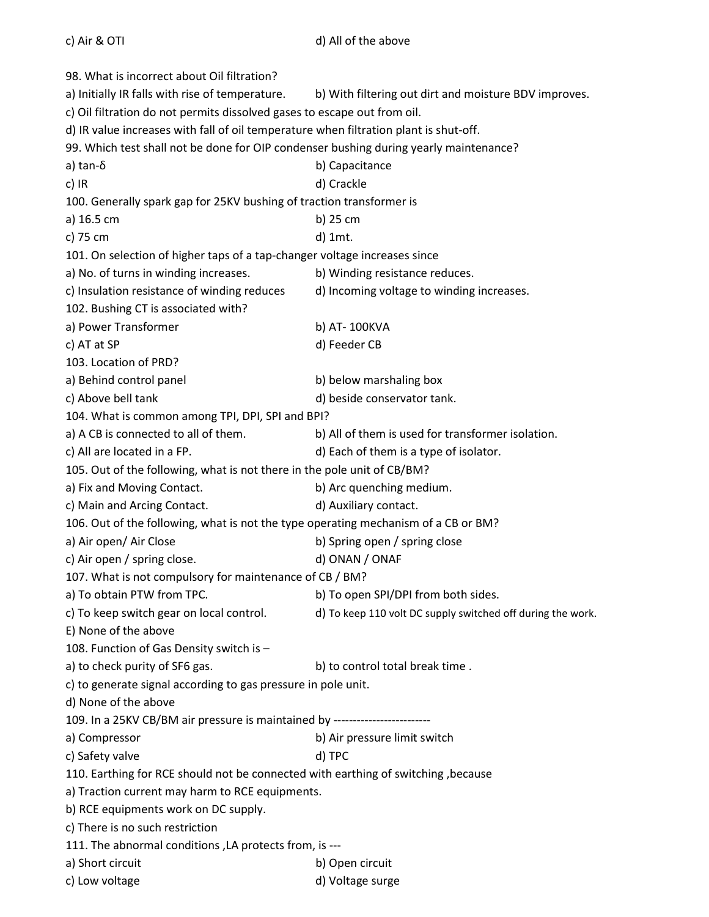98. What is incorrect about Oil filtration? a) Initially IR falls with rise of temperature. b) With filtering out dirt and moisture BDV improves. c) Oil filtration do not permits dissolved gases to escape out from oil. d) IR value increases with fall of oil temperature when filtration plant is shut-off. 99. Which test shall not be done for OIP condenser bushing during yearly maintenance? a) tan-δ b) Capacitance c) IR d) Crackle 100. Generally spark gap for 25KV bushing of traction transformer is a) 16.5 cm b) 25 cm c) 75 cm d) 1mt. 101. On selection of higher taps of a tap-changer voltage increases since a) No. of turns in winding increases. b) Winding resistance reduces. c) Insulation resistance of winding reduces d) Incoming voltage to winding increases. 102. Bushing CT is associated with? a) Power Transformer b) AT- 100KVA c) AT at SP d) Feeder CB 103. Location of PRD? a) Behind control panel b) below marshaling box c) Above bell tank d) beside conservator tank. 104. What is common among TPI, DPI, SPI and BPI? a) A CB is connected to all of them. b) All of them is used for transformer isolation. c) All are located in a FP.  $\qquad \qquad$  d) Each of them is a type of isolator. 105. Out of the following, what is not there in the pole unit of CB/BM? a) Fix and Moving Contact. b) Arc quenching medium. c) Main and Arcing Contact. d) Auxiliary contact. 106. Out of the following, what is not the type operating mechanism of a CB or BM? a) Air open/ Air Close b) Spring open / spring close c) Air open / spring close. d) ONAN / ONAF 107. What is not compulsory for maintenance of CB / BM? a) To obtain PTW from TPC. b) To open SPI/DPI from both sides. c) To keep switch gear on local control. d) To keep 110 volt DC supply switched off during the work. E) None of the above 108. Function of Gas Density switch is – a) to check purity of SF6 gas. b) to control total break time . c) to generate signal according to gas pressure in pole unit. d) None of the above 109. In a 25KV CB/BM air pressure is maintained by ------------------------ a) Compressor **b**) Air pressure limit switch c) Safety valve d) TPC 110. Earthing for RCE should not be connected with earthing of switching ,because a) Traction current may harm to RCE equipments. b) RCE equipments work on DC supply. c) There is no such restriction 111. The abnormal conditions ,LA protects from, is -- a) Short circuit b) Open circuit c) Low voltage d) Voltage surge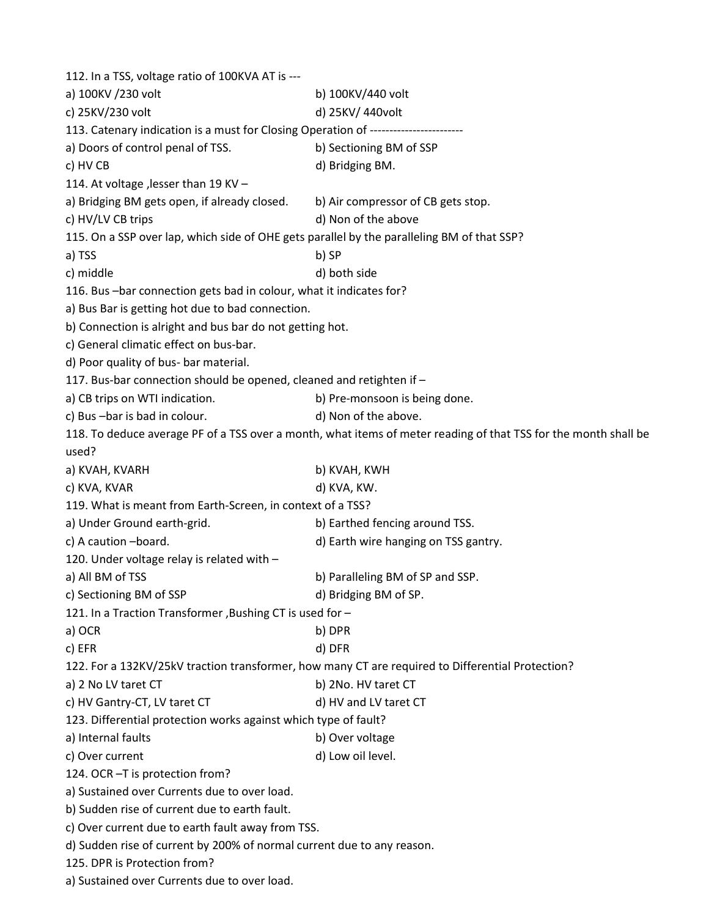| 112. In a TSS, voltage ratio of 100KVA AT is ---                                           |                                                                                                                 |
|--------------------------------------------------------------------------------------------|-----------------------------------------------------------------------------------------------------------------|
| a) 100KV /230 volt                                                                         | b) 100KV/440 volt                                                                                               |
| c) 25KV/230 volt                                                                           | d) 25KV/ 440volt                                                                                                |
| 113. Catenary indication is a must for Closing Operation of ----------------------         |                                                                                                                 |
| a) Doors of control penal of TSS.                                                          | b) Sectioning BM of SSP                                                                                         |
| c) HV CB                                                                                   | d) Bridging BM.                                                                                                 |
| 114. At voltage , lesser than 19 KV -                                                      |                                                                                                                 |
| a) Bridging BM gets open, if already closed.                                               | b) Air compressor of CB gets stop.                                                                              |
| c) HV/LV CB trips                                                                          | d) Non of the above                                                                                             |
| 115. On a SSP over lap, which side of OHE gets parallel by the paralleling BM of that SSP? |                                                                                                                 |
| a) TSS                                                                                     | b) SP                                                                                                           |
| c) middle                                                                                  | d) both side                                                                                                    |
| 116. Bus -bar connection gets bad in colour, what it indicates for?                        |                                                                                                                 |
| a) Bus Bar is getting hot due to bad connection.                                           |                                                                                                                 |
| b) Connection is alright and bus bar do not getting hot.                                   |                                                                                                                 |
| c) General climatic effect on bus-bar.                                                     |                                                                                                                 |
| d) Poor quality of bus- bar material.                                                      |                                                                                                                 |
| 117. Bus-bar connection should be opened, cleaned and retighten if -                       |                                                                                                                 |
| a) CB trips on WTI indication.                                                             | b) Pre-monsoon is being done.                                                                                   |
| c) Bus-bar is bad in colour.                                                               | d) Non of the above.                                                                                            |
|                                                                                            | 118. To deduce average PF of a TSS over a month, what items of meter reading of that TSS for the month shall be |
| used?                                                                                      |                                                                                                                 |
| a) KVAH, KVARH                                                                             | b) KVAH, KWH                                                                                                    |
| c) KVA, KVAR                                                                               | d) KVA, KW.                                                                                                     |
| 119. What is meant from Earth-Screen, in context of a TSS?                                 |                                                                                                                 |
| a) Under Ground earth-grid.                                                                | b) Earthed fencing around TSS.                                                                                  |
| c) A caution -board.                                                                       | d) Earth wire hanging on TSS gantry.                                                                            |
| 120. Under voltage relay is related with -                                                 |                                                                                                                 |
| a) All BM of TSS                                                                           | b) Paralleling BM of SP and SSP.                                                                                |
| c) Sectioning BM of SSP                                                                    | d) Bridging BM of SP.                                                                                           |
| 121. In a Traction Transformer, Bushing CT is used for -                                   |                                                                                                                 |
| a) OCR                                                                                     | b) DPR                                                                                                          |
| c) EFR                                                                                     | d) DFR                                                                                                          |
|                                                                                            | 122. For a 132KV/25kV traction transformer, how many CT are required to Differential Protection?                |
| a) 2 No LV taret CT                                                                        | b) 2No. HV taret CT                                                                                             |
| c) HV Gantry-CT, LV taret CT                                                               | d) HV and LV taret CT                                                                                           |
| 123. Differential protection works against which type of fault?                            |                                                                                                                 |
| a) Internal faults                                                                         | b) Over voltage                                                                                                 |
| c) Over current                                                                            | d) Low oil level.                                                                                               |
| 124. OCR -T is protection from?                                                            |                                                                                                                 |
| a) Sustained over Currents due to over load.                                               |                                                                                                                 |
| b) Sudden rise of current due to earth fault.                                              |                                                                                                                 |
| c) Over current due to earth fault away from TSS.                                          |                                                                                                                 |
| d) Sudden rise of current by 200% of normal current due to any reason.                     |                                                                                                                 |
| 125. DPR is Protection from?                                                               |                                                                                                                 |
| a) Sustained over Currents due to over load.                                               |                                                                                                                 |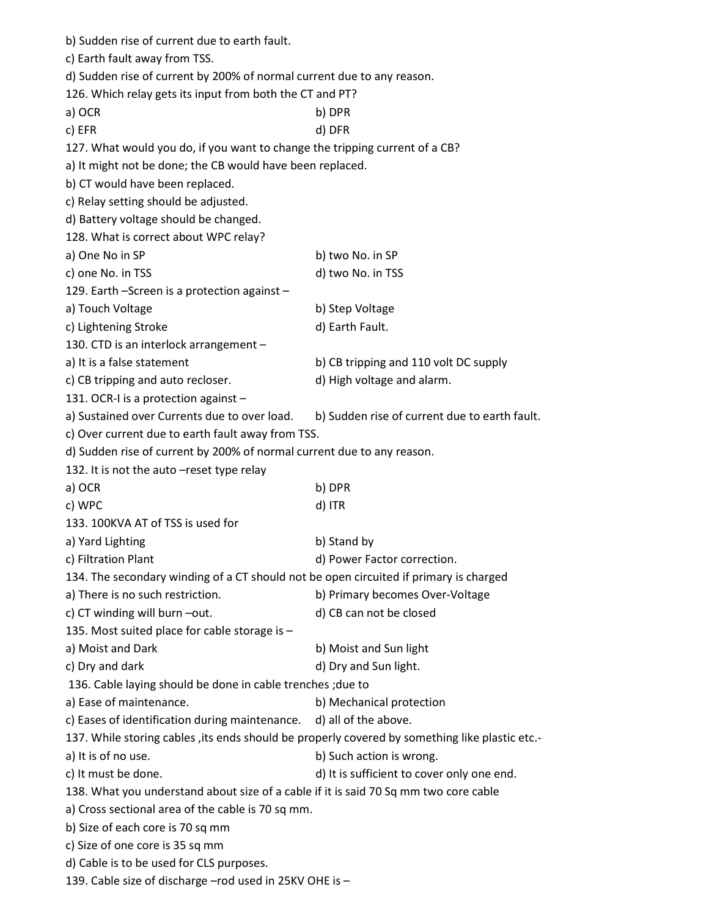| b) Sudden rise of current due to earth fault.                                                   |                                               |  |  |
|-------------------------------------------------------------------------------------------------|-----------------------------------------------|--|--|
| c) Earth fault away from TSS.                                                                   |                                               |  |  |
| d) Sudden rise of current by 200% of normal current due to any reason.                          |                                               |  |  |
| 126. Which relay gets its input from both the CT and PT?                                        |                                               |  |  |
| a) OCR                                                                                          | b) DPR                                        |  |  |
| c) EFR                                                                                          | d) DFR                                        |  |  |
| 127. What would you do, if you want to change the tripping current of a CB?                     |                                               |  |  |
| a) It might not be done; the CB would have been replaced.                                       |                                               |  |  |
| b) CT would have been replaced.                                                                 |                                               |  |  |
| c) Relay setting should be adjusted.                                                            |                                               |  |  |
| d) Battery voltage should be changed.                                                           |                                               |  |  |
| 128. What is correct about WPC relay?                                                           |                                               |  |  |
| a) One No in SP                                                                                 | b) two No. in SP                              |  |  |
| c) one No. in TSS                                                                               | d) two No. in TSS                             |  |  |
| 129. Earth - Screen is a protection against -                                                   |                                               |  |  |
| a) Touch Voltage                                                                                | b) Step Voltage                               |  |  |
| c) Lightening Stroke                                                                            | d) Earth Fault.                               |  |  |
| 130. CTD is an interlock arrangement -                                                          |                                               |  |  |
| a) It is a false statement                                                                      | b) CB tripping and 110 volt DC supply         |  |  |
| c) CB tripping and auto recloser.                                                               | d) High voltage and alarm.                    |  |  |
| 131. OCR-I is a protection against -                                                            |                                               |  |  |
|                                                                                                 |                                               |  |  |
| a) Sustained over Currents due to over load.                                                    | b) Sudden rise of current due to earth fault. |  |  |
| c) Over current due to earth fault away from TSS.                                               |                                               |  |  |
| d) Sudden rise of current by 200% of normal current due to any reason.                          |                                               |  |  |
| 132. It is not the auto -reset type relay                                                       |                                               |  |  |
| a) OCR                                                                                          | b) DPR                                        |  |  |
| c) WPC                                                                                          | d) ITR                                        |  |  |
| 133. 100KVA AT of TSS is used for                                                               |                                               |  |  |
| a) Yard Lighting                                                                                | b) Stand by                                   |  |  |
| c) Filtration Plant                                                                             | d) Power Factor correction.                   |  |  |
| 134. The secondary winding of a CT should not be open circuited if primary is charged           |                                               |  |  |
| a) There is no such restriction.                                                                | b) Primary becomes Over-Voltage               |  |  |
| c) CT winding will burn -out.                                                                   | d) CB can not be closed                       |  |  |
| 135. Most suited place for cable storage is -                                                   |                                               |  |  |
| a) Moist and Dark                                                                               | b) Moist and Sun light                        |  |  |
| c) Dry and dark                                                                                 | d) Dry and Sun light.                         |  |  |
| 136. Cable laying should be done in cable trenches; due to                                      |                                               |  |  |
| a) Ease of maintenance.                                                                         | b) Mechanical protection                      |  |  |
| c) Eases of identification during maintenance.                                                  | d) all of the above.                          |  |  |
| 137. While storing cables , its ends should be properly covered by something like plastic etc.- |                                               |  |  |
| a) It is of no use.                                                                             | b) Such action is wrong.                      |  |  |
| c) It must be done.                                                                             | d) It is sufficient to cover only one end.    |  |  |
| 138. What you understand about size of a cable if it is said 70 Sq mm two core cable            |                                               |  |  |
| a) Cross sectional area of the cable is 70 sq mm.                                               |                                               |  |  |
| b) Size of each core is 70 sq mm                                                                |                                               |  |  |
| c) Size of one core is 35 sq mm                                                                 |                                               |  |  |
| d) Cable is to be used for CLS purposes.                                                        |                                               |  |  |
| 139. Cable size of discharge - rod used in 25KV OHE is -                                        |                                               |  |  |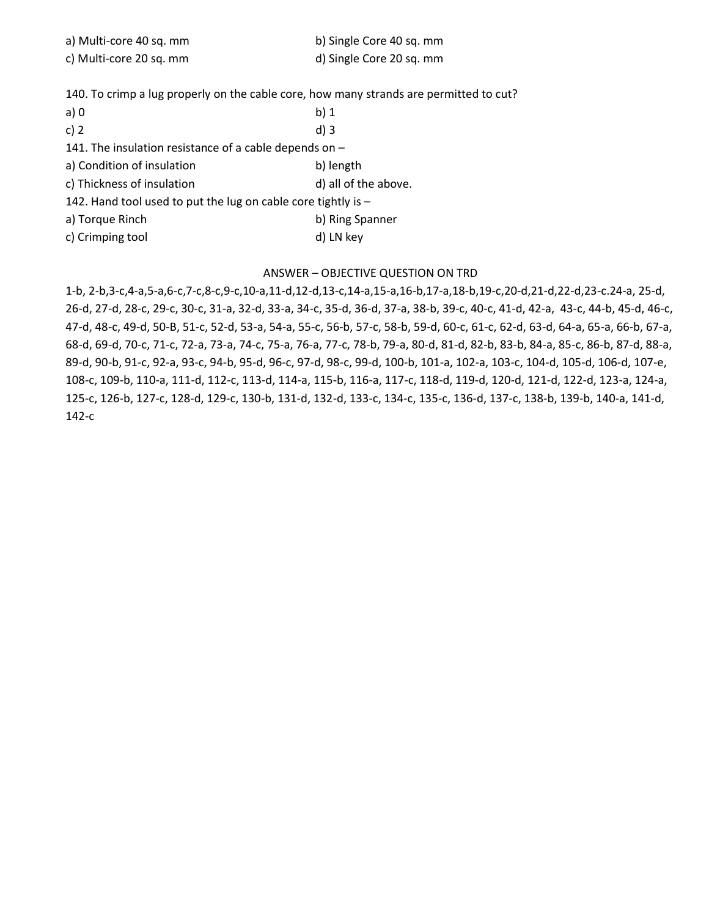| a) Multi-core 40 sq. mm | b) Single Core 40 sq. mm |
|-------------------------|--------------------------|
| c) Multi-core 20 sq. mm | d) Single Core 20 sq. mm |

140. To crimp a lug properly on the cable core, how many strands are permitted to cut?

| $a)$ 0                                                          | b)1                  |  |
|-----------------------------------------------------------------|----------------------|--|
| c) $2$                                                          | $d$ ) 3              |  |
| 141. The insulation resistance of a cable depends on $-$        |                      |  |
| a) Condition of insulation                                      | b) length            |  |
| c) Thickness of insulation                                      | d) all of the above. |  |
| 142. Hand tool used to put the lug on cable core tightly is $-$ |                      |  |
| a) Torque Rinch                                                 | b) Ring Spanner      |  |
| c) Crimping tool                                                | d) LN key            |  |

## ANSWER – OBJECTIVE QUESTION ON TRD

1-b, 2-b,3-c,4-a,5-a,6-c,7-c,8-c,9-c,10-a,11-d,12-d,13-c,14-a,15-a,16-b,17-a,18-b,19-c,20-d,21-d,22-d,23-c.24-a, 25-d, 26-d, 27-d, 28-c, 29-c, 30-c, 31-a, 32-d, 33-a, 34-c, 35-d, 36-d, 37-a, 38-b, 39-c, 40-c, 41-d, 42-a, 43-c, 44-b, 45-d, 46-c, 47-d, 48-c, 49-d, 50-B, 51-c, 52-d, 53-a, 54-a, 55-c, 56-b, 57-c, 58-b, 59-d, 60-c, 61-c, 62-d, 63-d, 64-a, 65-a, 66-b, 67-a, 68-d, 69-d, 70-c, 71-c, 72-a, 73-a, 74-c, 75-a, 76-a, 77-c, 78-b, 79-a, 80-d, 81-d, 82-b, 83-b, 84-a, 85-c, 86-b, 87-d, 88-a, 89-d, 90-b, 91-c, 92-a, 93-c, 94-b, 95-d, 96-c, 97-d, 98-c, 99-d, 100-b, 101-a, 102-a, 103-c, 104-d, 105-d, 106-d, 107-e, 108-c, 109-b, 110-a, 111-d, 112-c, 113-d, 114-a, 115-b, 116-a, 117-c, 118-d, 119-d, 120-d, 121-d, 122-d, 123-a, 124-a, 125-c, 126-b, 127-c, 128-d, 129-c, 130-b, 131-d, 132-d, 133-c, 134-c, 135-c, 136-d, 137-c, 138-b, 139-b, 140-a, 141-d, 142-c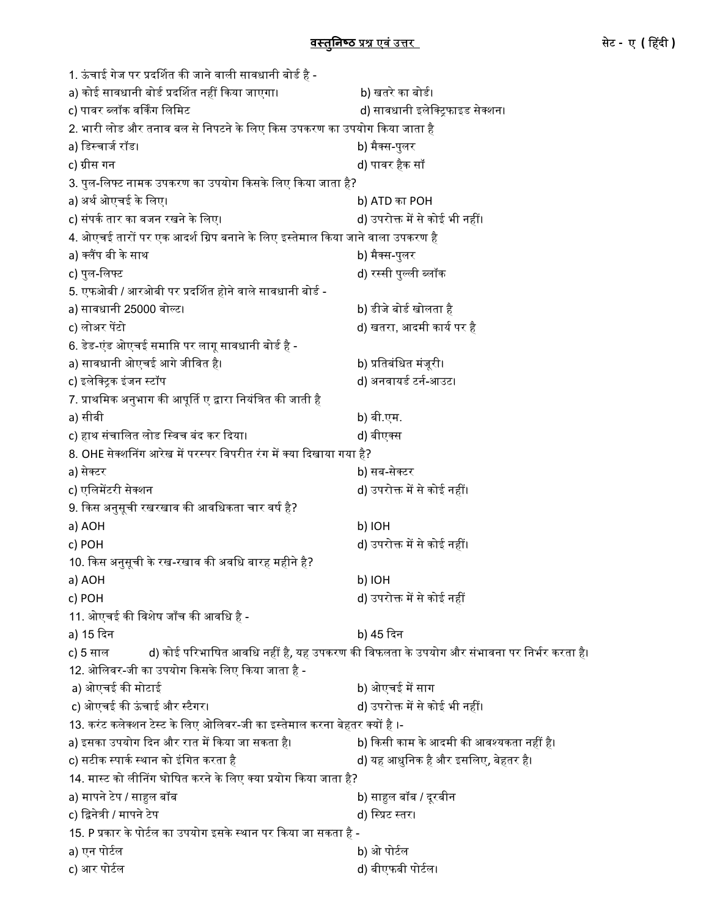| 1. ऊंचाई गेज पर प्रदर्शित की जाने वाली सावधानी बोर्ड है -                     |                                                                                         |  |
|-------------------------------------------------------------------------------|-----------------------------------------------------------------------------------------|--|
| a) कोई सावधानी बोर्ड प्रदर्शित नहीं किया जाएगा।                               | b) खतरे का बोर्ड।                                                                       |  |
| c) पावर ब्लॉक वर्किंग लिमिट                                                   | d) सावधानी इलेक्ट्रिफाइड सेक्शन।                                                        |  |
| 2. भारी लोड और तनाव बल से निपटने के लिए किस उपकरण का उपयोग किया जाता है       |                                                                                         |  |
| a) डिस्चार्ज रॉड।                                                             | b) मैक्स-पुलर                                                                           |  |
| c) ग्रीस गन                                                                   | d) पावर हैक सॉ                                                                          |  |
| 3. पुल-लिफ्ट नामक उपकरण का उपयोग किसके लिए किया जाता है?                      |                                                                                         |  |
| a) अर्थ ओएचई के लिए।                                                          | b) ATD का POH                                                                           |  |
| c) संपर्क तार का वजन रखने के लिए।                                             | d) उपरोक्त में से कोई भी नहीं।                                                          |  |
| 4. ओएचई तारों पर एक आदर्श ग्रिप बनाने के लिए इस्तेमाल किया जाने वाला उपकरण है |                                                                                         |  |
| a) क्लैंप बी के साथ                                                           | b) मैक्स-पुलर                                                                           |  |
| c) पुल-लिफ्ट                                                                  | d) रस्सी पुल्ली ब्लॉक                                                                   |  |
| 5. एफओबी / आरओबी पर प्रदर्शित होने वाले सावधानी बोर्ड -                       |                                                                                         |  |
| a) सावधानी 25000 वोल्ट।                                                       | b) डीजे बोर्ड खोलता है                                                                  |  |
| c) लोअर पेंटो                                                                 | d) खतरा, आदमी कार्य पर है                                                               |  |
| 6. डेड-एंड ओएचई समाप्ति पर लागू सावधानी बोर्ड है -                            |                                                                                         |  |
| a) सावधानी ओएचई आगे जीवित है।                                                 | b) प्रतिबंधित मंजूरी।                                                                   |  |
| c) इलेक्ट्रिक इंजन स्टॉप                                                      | d) अनवायर्ड टर्न-आउट।                                                                   |  |
| 7. प्राथमिक अनुभाग की आपूर्ति ए द्वारा नियंत्रित की जाती है                   |                                                                                         |  |
| a) सीबी                                                                       | b) बी.एम.                                                                               |  |
| c) हाथ संचालित लोड स्विच बंद कर दिया।                                         | d) बीएक्स                                                                               |  |
| 8. OHE सेक्शनिंग आरेख में परस्पर विपरीत रंग में क्या दिखाया गया है?           |                                                                                         |  |
| a) सेक्टर                                                                     | b) सब-सेक्टर                                                                            |  |
| c) एलिमेंटरी सेक्शन                                                           | d) उपरोक्त में से कोई नहीं।                                                             |  |
| 9. किस अनुसूची रखरखाव की आवधिकता चार वर्ष है?                                 |                                                                                         |  |
| a) AOH                                                                        | b) IOH                                                                                  |  |
| c) POH                                                                        | d) उपरोक्त में से कोई नहीं।                                                             |  |
| 10. किस अनुसूची के रख-रखाव की अवधि बारह महीने है?                             |                                                                                         |  |
| a) AOH                                                                        | HOI (d                                                                                  |  |
| c) POH                                                                        | d) उपरोक्त में से कोई नहीं                                                              |  |
| 11. ओएचई की विशेष जाँच की आवधि है -                                           |                                                                                         |  |
| a) 15 दिन                                                                     | b) 45 दिन                                                                               |  |
| c) 5 साल                                                                      | d) कोई परिभाषित आवधि नहीं है, यह उपकरण की विफलता के उपयोग और संभावना पर निर्भर करता है। |  |
| 12. ओलिवर-जी का उपयोग किसके लिए किया जाता है -                                |                                                                                         |  |
| a) ओएचई की मोटाई                                                              | b) ओएचई में साग                                                                         |  |
| c) ओएचई की ऊंचाई और स्टैगर।                                                   | d) उपरोक्त में से कोई भी नहीं।                                                          |  |
| 13. करंट कलेक्शन टेस्ट के लिए ओलिवर-जी का इस्तेमाल करना बेहतर क्यों है ।-     |                                                                                         |  |
| a) इसका उपयोग दिन और रात में किया जा सकता है।                                 | b) किसी काम के आदमी की आवश्यकता नहीं है।                                                |  |
| c) सटीक स्पार्क स्थान को इंगित करता है                                        | d) यह आधुनिक है और इसलिए, बेहतर है।                                                     |  |
| 14. मास्ट को लीनिंग घोषित करने के लिए क्या प्रयोग किया जाता है?               |                                                                                         |  |
| a) मापने टेप / साहुल बॉब                                                      | b) साहुल बॉब / दूरबीन                                                                   |  |
| c) द्विनेत्री / मापने टेप                                                     | d) स्प्रिट स्तर।                                                                        |  |
| 15. P प्रकार के पोर्टल का उपयोग इसके स्थान पर किया जा सकता है -               |                                                                                         |  |
| a) एन पोर्टल                                                                  | b) ओ पोर्टल                                                                             |  |
| c) आर पोर्टल                                                                  | d) बीएफबी पोर्टल।                                                                       |  |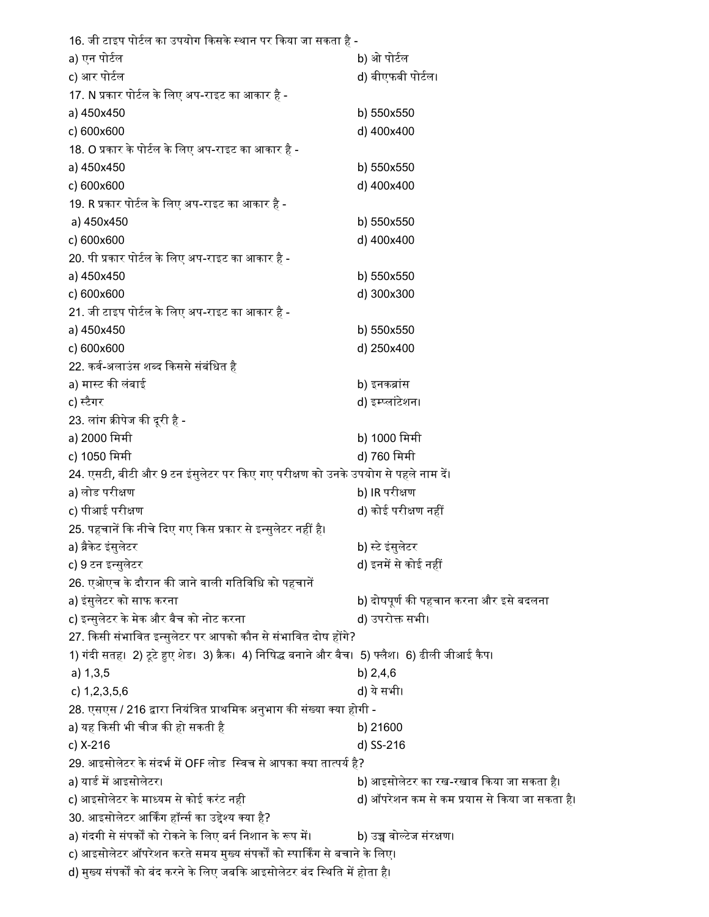| 16. जी टाइप पोर्टल का उपयोग किसके स्थान पर किया जा सकता है -                                      |                                               |  |
|---------------------------------------------------------------------------------------------------|-----------------------------------------------|--|
| a) एन पोर्टल                                                                                      | b) ओ पोर्टल                                   |  |
| c) आर पोर्टल                                                                                      | d) बीएफबी पोर्टल।                             |  |
| 17. N प्रकार पोर्टल के लिए अप-राइट का आकार है -                                                   |                                               |  |
| a) 450x450                                                                                        | b) 550x550                                    |  |
| c) 600x600                                                                                        | d) 400x400                                    |  |
| 18. O प्रकार के पोर्टल के लिए अप-राइट का आकार है -                                                |                                               |  |
| a) 450x450                                                                                        | b) 550x550                                    |  |
| c) 600x600                                                                                        | d) 400x400                                    |  |
| 19. R प्रकार पोर्टल के लिए अप-राइट का आकार है -                                                   |                                               |  |
| a) 450x450                                                                                        | b) 550x550                                    |  |
| c) 600x600                                                                                        | d) 400x400                                    |  |
| 20. पी प्रकार पोर्टल के लिए अप-राइट का आकार है -                                                  |                                               |  |
| a) 450x450                                                                                        | b) 550x550                                    |  |
| c) 600x600                                                                                        | d) 300x300                                    |  |
| 21. जी टाइप पोर्टल के लिए अप-राइट का आकार है -                                                    |                                               |  |
| a) 450x450                                                                                        | b) 550x550                                    |  |
| c) 600x600                                                                                        | d) 250x400                                    |  |
| 22. कर्व-अलाउंस शब्द किससे संबंधित है                                                             |                                               |  |
| a) मास्ट की लंबाई                                                                                 | b) इनकब्रांस                                  |  |
| c) स्टैगर                                                                                         | d) इम्प्लांटेशन।                              |  |
| 23. लांग क्रीपेज की दूरी है -                                                                     |                                               |  |
| a) 2000 मिमी                                                                                      | b) 1000 मिमी                                  |  |
| c) 1050 मिमी                                                                                      | d) 760 मिमी                                   |  |
| 24. एसटी, बीटी और 9 टन इंसुलेटर पर किए गए परीक्षण को उनके उपयोग से पहले नाम दें।                  |                                               |  |
| a) लोड परीक्षण                                                                                    | b) IR परीक्षण                                 |  |
| c) पीआई परीक्षण                                                                                   | d) कोई परीक्षण नहीं                           |  |
| 25. पहचानें कि नीचे दिए गए किस प्रकार से इन्सुलेटर नहीं है।                                       |                                               |  |
| a) ब्रैकेट इंसुलेटर                                                                               | b) स्टे इंसुलेटर                              |  |
| c) 9 टन इन्सुलेटर                                                                                 | d) इनमें से कोई नहीं                          |  |
| 26. एओएच के दौरान की जाने वाली गतिविधि को पहचानें                                                 |                                               |  |
| a) इंसुलेटर को साफ करना                                                                           | b) दोषपूर्ण की पहचान करना और इसे बदलना        |  |
| c) इन्सुलेटर के मेक और बैच को नोट करना                                                            | d) उपरोक्त सभी।                               |  |
| 27. किसी संभावित इन्सुलेटर पर आपको कौन से संभावित दोष होंगे?                                      |                                               |  |
| 1) गंदी सतह।  2) टूटे हुए शेड।  3) क्रैक।  4) निषिद्ध बनाने और बैच।  5) फ्लैश।  6) ढीली जीआई कैप। |                                               |  |
| a) 1, 3, 5                                                                                        | b) 2,4,6                                      |  |
| c) $1,2,3,5,6$                                                                                    | d) ये सभी।                                    |  |
| 28. एसएस / 216 द्वारा नियंत्रित प्राथमिक अनुभाग की संख्या क्या होगी -                             |                                               |  |
| a) यह किसी भी चीज की हो सकती है                                                                   | b) 21600                                      |  |
| c) X-216                                                                                          | d) SS-216                                     |  |
| 29. आइसोलेटर के संदर्भ में OFF लोड  स्विच से आपका क्या तात्पर्य है?                               |                                               |  |
| a) यार्ड में आइसोलेटर।                                                                            | b) आइसोलेटर का रख-रखाव किया जा सकता है।       |  |
| c) आइसोलेटर के माध्यम से कोई करंट नही                                                             | d) ऑपरेशन कम से कम प्रयास से किया जा सकता है। |  |
| 30. आइसोलेटर आर्किंग हॉर्न्स का उद्देश्य क्या है?                                                 |                                               |  |
| a) गंदगी से संपर्कों को रोकने के लिए बर्न निशान के रूप में।                                       | b) उच्च वोल्टेज संरक्षण।                      |  |
| c) आइसोलेटर ऑपरेशन करते समय मुख्य संपर्कों को स्पार्किंग से बचाने के लिए।                         |                                               |  |
| d) मुख्य संपर्कों को बंद करने के लिए जबकि आइसोलेटर बंद स्थिति में होता है।                        |                                               |  |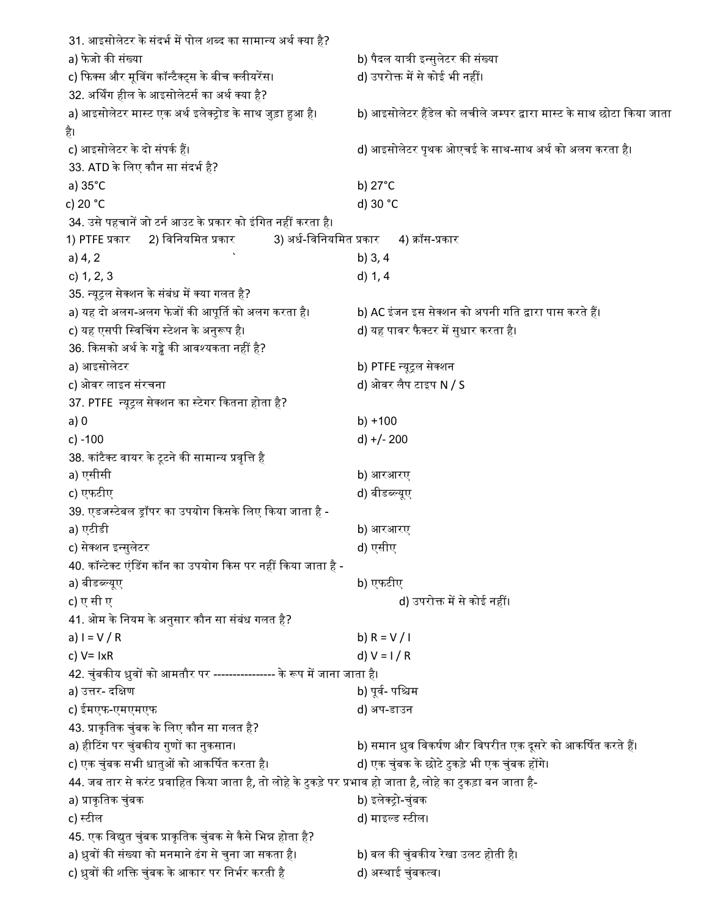31. आइसोलेटर के संदर्भ में पोल शब्द का सामान्य अर्थ क्या है? a) फे जो कᳱ संया b) पैदल याᮢी इ᭠सुलेटर कᳱ संया c) फिक्स और मूविंग कॉन्टैक्ट्स के बीच क्लीयरेंस। d) उपरोक्त में से कोई भी नहीं। 32. अर्थिंग हील के आइसोलेटर्स का अर्थ क्या है? a) आइसोलेटर मास्ट एक अर्थ इलेक्ट्रोड के साथ जुड़ा हुआ है। b) आइसोलेटर हैंडेल को लचीले जम्पर द्वारा मास्ट के साथ छोटा किया जाता है। c) आइसोलेटर के दो संपर्क हैं। बाद साथ-साथ अर्थ को अलग करता है। को अलग करता है। 33. ATD के लिए कौन सा संदर्भ है? a) 35°C b) 27°C c) 20 °C d) 30 °C 34. उसे पहचानें जो टर्न आउट के प्रकार को इंगित नहीं करता है। 1) PTFE प्रकार 2) विनियमित प्रकार 3) अर्ध-विनियमित प्रकार 4) क्रॉस-प्रकार a)  $4, 2$  b)  $3, 4$ c) 1, 2, 3 d) 1, 4 35. न्यूट्रल सेक्शन के संबंध में क्या गलत है? a) यह दो अलग-अलग फेजों की आपूर्ति को अलग करता है। b) AC इंजन इस सेक्शन को अपनी गति द्वारा पास करते हैं। c) यह एसपी ि᭭वᳲचग ᭭टेशन के अनुᱨप ह।ै d) यह पावर फैटर मᱶसुधार करता ह।ै 36. किसको अर्थ के गड्ढे की आवश्यकता नहीं है? a) आइसोलेटर b) PTFE ᭠यूᮝल सेशन c) ओवर लाइन संरचना d) ओवर लैप टाइप N / S 37. PTFE न्यूट्रल सेक्शन का स्टेगर कितना होता है? a) 0 b) +100 c) -100 d) +/- 200 38. कांटैक्ट वायर के टूटने की सामान्य प्रवृत्ति है a) एसीसी b) आरआरए c) एफटीए d) बीड᭣᭨यूए 39. एडजस्टेबल ड्रॉपर का उपयोग किसके लिए किया जाता है a) एटीडी b) आरआरए c) सेशन इ᭠सुलेटर d) एसीए 40. कॉन्टेक्ट एंडिंग कॉन का उपयोग किस पर नहीं किया जाता है a) बीडब्ल्यूए b) एफटीए c) ए सी ए d) उपरोक्त में से कोई नहीं। 41. ओम के नियम के अनुसार कौन सा संबंध गलत है? a)  $I = V / R$  b)  $R = V / I$ c)  $V = I \times R$  d)  $V = I / R$ 42. चुंबकीय ध्रुवों को आमतौर पर ---------------- के रूप में जाना जाता है। a) उत्तर- दक्षिण b) पूर्व- पश्चिम c) ईमएफ-एमएमएफ d) अप-डाउन 43. प्राकृतिक चुंबक के लिए कौन सा गलत है? a) हीᳳटग पर चुंबकᳱय गुणᲂ का नुकसान। b) समान ᮥुव िवकषᭅण और िवपरीत एक दसू रेको आकᳶषत करते ह।ᱹ c) एक चुंबक सभी धातुओं को आकर्षित करता है। d) एक चुंबक के छोटे टुकड़े भी एक चुंबक होंगे। 44. जब तार से करंट प्रवाहित किया जाता है, तो लोहे के टुकड़े पर प्रभाव हो जाता है, लोहे का टुकड़ा बन जाता हैa) ᮧाकृ ितक चुंबक b) इलेᮝो-चुंबक c) स्टील d) माइल्ड स्टील। 45. एक विद्युत चुंबक प्राकृतिक चुंबक से कैसे भिन्न होता है? a) ध्रुवों की संख्या को मनमाने ढंग से चुना जा सकता है। b) बल की चुंबकीय रेखा उलट होती है। c) ध्रुवों की शक्ति चुंबक के आकार पर निर्भर करती है d) अस्थाई चुंबकत्व।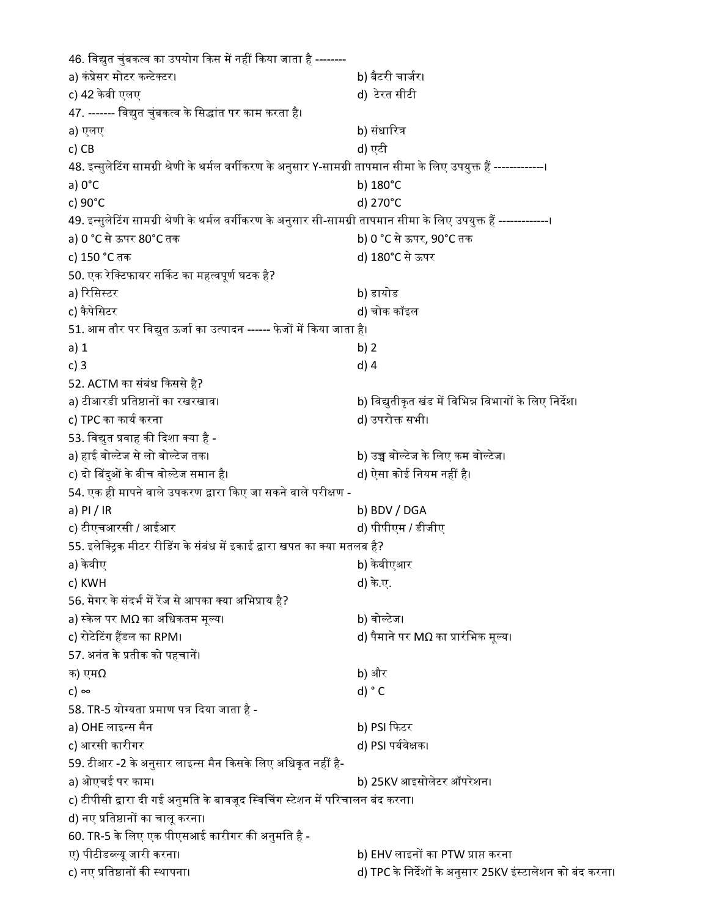46. विद्युत चुंबकत्व का उपयोग किस में नहीं किया जाता है -------a) कंᮧेसर मोटर क᭠टेटर। b) बैटरी चाजᭅर। c) 42 के वी एलए d) टेरत सीटी 47. ------- विद्युत चुंबकत्व के सिद्धांत पर काम करता है। a) एलए b) संधारित्र c) CB d) एटी 48. इन्सुलेटिंग सामग्री श्रेणी के थर्मल वर्गीकरण के अनुसार Y-सामग्री तापमान सीमा के लिए उपयुक्त हैं --------------। a) 0°C b) 180°C c) 90°C d) 270°C 49. इन्सुलेटिंग सामग्री श्रेणी के थर्मल वर्गीकरण के अनुसार सी-सामग्री तापमान सीमा के लिए उपयुक्त हैं -------------। a) 0 °C से ऊपर 80°C तक b) 0 °C से ऊपर, 90°C तक c) 150 °C तक d) 180°C से ऊपर 50. एक रेक्टिफायर सर्किट का महत्वपूर्ण घटक है? a) रिसिस्टर b) डायोड c) कै पेिसटर d) चोक कॉइल 51. आम तौर पर विद्युत ऊर्जा का उत्पादन ------ फेजों में किया जाता है। a) 1 b) 2 c) 3 d) 4 52. ACTM का संबंध किससे है? a) टीआरडी ᮧित᳧ानᲂ का रखरखाव। b) िव᳒ुतीकृ त खंड मᱶ िविभ᳖ िवभागᲂ के िलए िनदश। ᱷ c) TPC का कार्य करना d) उपरोक्त सभी। 53. विद्युत प्रवाह की दिशा क्या है a) हाई वो᭨टेज सेलो वो᭨टेज तक। b) उᲬ वो᭨टेज के िलए कम वो᭨टेज। c) दो ᳲबदुᲐ के बीच वो᭨टेज समान ह।ै d) ऐसा कोई िनयम नहᱭ है। 54. एक ही मापने वाले उपकरण द्वारा किए जा सकने वाले परीक्षण a) PI / IR b) BDV / DGA c) टीएचआरसी / आईआर d) पीपीएम / डीजीए 55. इलेक्ट्रिक मीटर रीडिंग के संबंध में इकाई द्वारा खपत का क्या मतलब है? a) केवीए b) के बीएआर c) KWH d) के .ए. 56. मेगर के संदर्भ में रेंज से आपका क्या अभिप्राय है? a) स्केल पर MΩ का अधिकतम मूल्य। b) वोल्टेज। c) रोटेटिंग हैंडल का RPM। d) पैमाने पर MΩ का प्रारंभिक मूल्य। 57. अनंत के प्रतीक को पहचानें। क) एम $\Omega$  b) और c)  $\infty$  d)  $^{\circ}$  C 58. TR-5 योग्यता प्रमाण पत्र दिया जाता है a) OHE लाइन्स मैन b) PSI फिटर c) आरसी कारीगर d) PSI पर्यवेक्षक। 59. टीआर -2 के अनुसार लाइन्स मैन किसके लिए अधिकृत नहीं हैa) ओएचई पर काम। b) 25KV आइसोलेटर ऑपरेशन। c) टीपीसी द्वारा दी गई अनुमति के बावजूद स्विचिंग स्टेशन में परिचालन बंद करना। d) नए प्रतिष्ठानों का चालू करना। 60. TR-5 के लिए एक पीएसआई कारीगर की अनुमति है - ए) पीटीड᭣᭨यू जारी करना। b) EHV लाइनᲂ का PTW ᮧा᳙ करना c) नए ᮧित᳧ानᲂ कᳱ ᭭थापना। d) TPC के िनदशᱷ ᲂ के अनुसार 25KV इं᭭टालेशन को बंद करना।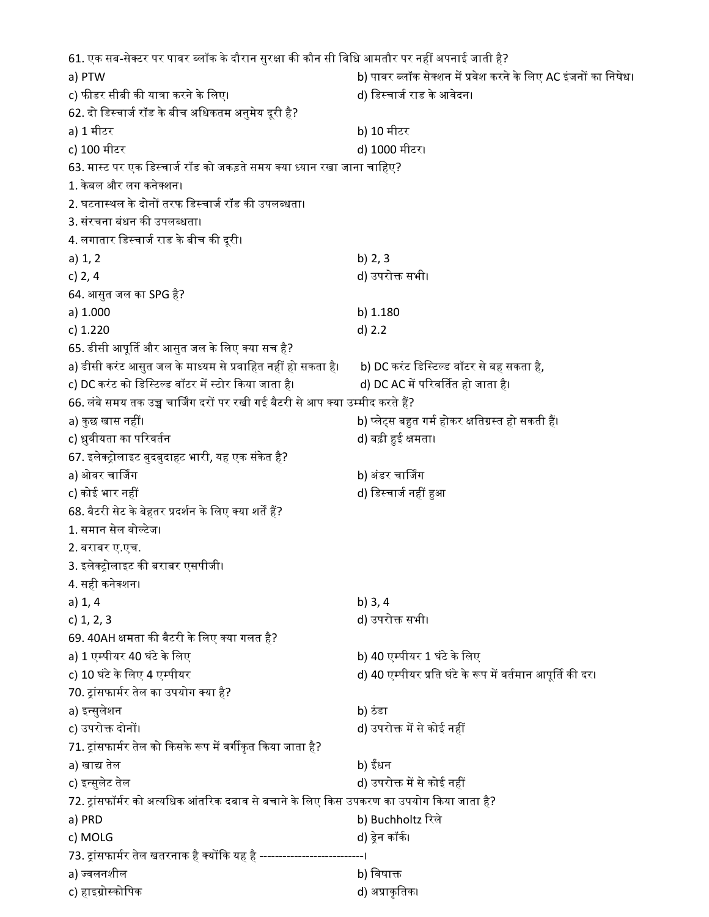61. एक सब-सेक्टर पर पावर ब्लॉक के दौरान सुरक्षा की कौन सी विधि आमतौर पर नहीं अपनाई जाती है? a) PTW b) पावर ब्लॉक सेक्शन में प्रवेश करने के लिए AC इंजनों का निषेध। c) फीडर सीबी की यात्रा करने के लिए। d) डिस्चार्ज राड के आवेदन। 62. दो डिस्चार्ज रॉड के बीच अधिकतम अनुमेय दूरी है? a) 1 मीटर b) 10 मीटर c) 100 मीटर d) 1000 मीटर। 63. मास्ट पर एक डिस्चार्ज रॉड को जकड़ते समय क्या ध्यान रखा जाना चाहिए? 1. के बल और लग कनेशन। 2. घटनास्थल के दोनों तरफ डिस्चार्ज रॉड की उपलब्धता। 3. संरचना बंधन की उपलब्धता। 4. लगातार डिस्चार्ज राड के बीच की दूरी। a)  $1, 2$  b)  $2, 3$ c) 2, 4 d) उपरोक्त सभी। 64. आसुत जल का SPG है? a) 1.000 b) 1.180 c) 1.220 d) 2.2 65. डीसी आपूर्ति और आसुत जल के लिए क्या सच है? a) डीसी करंट आसुत जल के माध्यम से प्रवाहित नहीं हो सकता है। b) DC करंट डिस्टिल्ड वॉटर से बह सकता है*,* c) DC करंट को डिस्टिल्ड वॉटर में स्टोर किया जाता है। d) DC AC में परिवर्तित हो जाता है। 66. लंबे समय तक उच्च चार्जिंग दरों पर रखी गई बैटरी से आप क्या उम्मीद करते हैं? a) कु छ खास नहᱭ। b) ᭡ले᭗स बᱟत गमᭅ होकर ᭃितᮕ᭭त हो सकती ह।ᱹ c) ध्रुवीयता का परिवर्तन d) बढ़ी हुई क्षमता। 67. इलेक्ट्रोलाइट बुदबुदाहट भारी, यह एक संकेत है? a) ओवर चार्जिंग b) अंडर चार्जिंग c) कोई भार नहीं बाद कर बाद कर बाद कर बाद कर बाद कर बाद कर बाद कर बाद कर बाद कर बाद कर बाद कर बाद कर बाद कर बाद 68. बैटरी सेट के बेहतर प्रदर्शन के लिए क्या शर्तें हैं? 1. समान सेल वो᭨टेज। 2. बराबर ए.एच. 3. इलेक्ट्रोलाइट की बराबर एसपीजी। 4. सही कनेशन। a) 1, 4 b) 3, 4 c) 1, 2, 3 d) उपरोᲦ सभी। 69. 40AH क्षमता की बैटरी के लिए क्या गलत है? a) 1 एम्पीयर 40 घंटे के लिए b) 40 एम्पीयर 1 घंटे के लिए c) 10 घंटे के लिए 4 एम्पीयर d) 40 एम्पीयर प्रति घंटे के रूप में वर्तमान आपूर्ति की दर। 70. ट्रांसफार्मर तेल का उपयोग क्या है? a) इ᭠सुलेशन b) ठंडा c) उपरोᲦ दोनᲂ। d) उपरोᲦ मᱶ से कोई नहᱭ 71. ट्रांसफार्मर तेल को किसके रूप में वर्गीकृत किया जाता है? a) खाद्य तेल b) ईधन c) इन्सुलेट तेल d) उपरोक्त में से कोई नहीं 72. ट्रांसफॉर्मर को अत्यधिक आंतरिक दबाव से बचाने के लिए किस उपकरण का उपयोग किया जाता है? a) PRD b) Buchholtz रिले c) MOLG d) डेन कॉकी। 73. ट्रांसफार्मर तेल खतरनाक है क्योंकि यह है -------a) ज्वलनशील b) विषाक्त c) हाइᮕो᭭कोिपक d) अᮧाकृ ितक।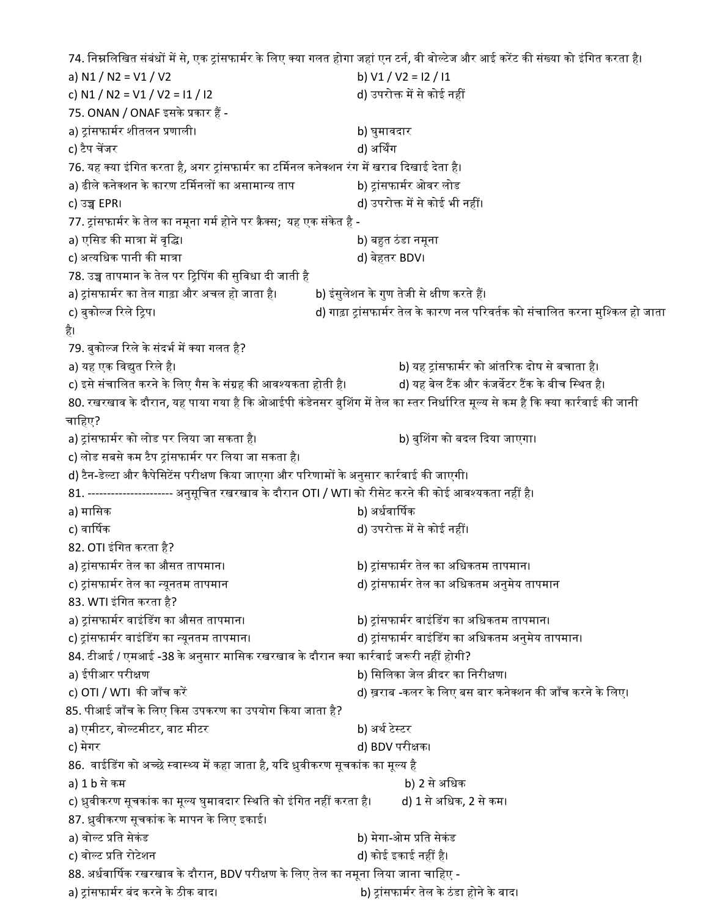74. निम्नलिखित संबंधों में से, एक ट्रांसफार्मर के लिए क्या गलत होगा जहां एन टर्न, वी वोल्टेज और आई करेंट की संख्या को इंगित करता है। a) N1 / N2 = V1 / V2 b) V1 / V2 = I2 / I1 c) N1 / N2 = V1 / V2 = I1 / I2 d) उपरोक्त में से कोई नहीं 75. ONAN / ONAF इसके प्रकार हैं a) ᮝांसफामᭅर शीतलन ᮧणाली। b) घुमावदार c) टैप चेंजर d) अर्थिंग 76. यह क्या इंगित करता है, अगर ट्रांसफार्मर का टर्मिनल कनेक्शन रंग में खराब दिखाई देता है। a) ढीले कनेक्शन के कारण टर्मिनलों का असामान्य ताप b) ट्रांसफार्मर ओवर लोड c) उᲬ EPR। d) उपरोᲦ मᱶ से कोई भी नहᱭ। 77. ट्रांसफार्मर के तेल का नमूना गर्म होने पर क्रैक्स; यह एक संकेत है a) एिसड कᳱ माᮢा मᱶ वृि। b) बᱟत ठंडा नमूना c) अत्यधिक पानी की मात्रा d) बेहतर BDV। 78. उच्च तापमान के तेल पर ट्रिपिंग की सुविधा दी जाती है a) ट्रांसफार्मर का तेल गाढ़ा और अचल हो जाता है। b) इंसुलेशन के गुण तेजी से क्षीण करते हैं। c) बुको᭨ज ᳯरले ᳯᮝप। d) गाढ़ा ᮝांसफामᭅर तेल के कारण नल पᳯरवतᭅक को संचािलत करना मुि᭫कल हो जाता ह।ै 79. बुकोल्ज रिले के संदर्भ में क्या गलत है? a) यह एक िव᳒ुत ᳯरलेह।ै b) यह ᮝांसफामᭅर को आंतᳯरक दोष सेबचाता ह।ै c) इसे संचालित करने के लिए गैस के संग्रह की आवश्यकता होती है। d) यह बेल टैंक और कंजर्वेटर टैंक के बीच स्थित है। 80. रखरखाव के दौरान, यह पाया गया है कि ओआईपी कंडेनसर बुशिंग में तेल का स्तर निर्धारित मूल्य से कम है कि क्या कार्रवाई की जानी चाहिए? a) ट्रांसफार्मर को लोड पर लिया जा सकता है। b) बुशिंग को बदल दिया जाएगा। c) लोड सबसे कम टैप ट्रांसफार्मर पर लिया जा सकता है। d) टैन-डेल्टा और कैपेसिटेंस परीक्षण किया जाएगा और परिणामों के अनुसार कार्रवाई की जाएगी। 81. ---------------------- अनुसूचित रखरखाव के दौरान OTI / WTI को रीसेट करने की कोई आवश्यकता नहीं है। a) मासिक b) अर्धवार्षिक c) वार्षिक d) उपरोक्त में से कोई नहीं। 82. OTI इंगित करता है? a) ट्रांसफार्मर तेल का औसत तापमान। b) ट्रांसफार्मर तेल का अधिकतम तापमान। c) ᮝांसफामᭅर तेल का ᭠यूनतम तापमान d) ᮝांसफामᭅर तेल का अिधकतम अनुमेय तापमान 83. WTI इंगित करता है? a) ट्रांसफार्मर वाइंडिंग का औसत तापमान। b) ट्रांसफार्मर वाइंडिंग का अधिकतम तापमान। c) ट्रांसफार्मर वाइंडिंग का न्यूनतम तापमान। d) ट्रांसफार्मर वाइंडिंग का अधिकतम अनुमेय तापमान। 84. टीआई / एमआई -38 के अनुसार मासिक रखरखाव के दौरान क्या कार्रवाई जरूरी नहीं होगी? a) ईपीआर परीक्षण b) सिलिका जेल ब्रीदर का निरीक्षण। c) OTI / WTI की जाँच करें बाद कर को लिए बस बार का जाँच करने के लिए। क्या को जाँच करने के लिए। 85. पीआई जाँच के लिए किस उपकरण का उपयोग किया जाता है? a) एमीटर, वोल्टमीटर, वाट मीटर b) अर्थ टेस्टर c) मेगर d) BDV परीक्षक। 86. वाईडिंग को अच्छे स्वास्थ्य में कहा जाता है, यदि ध्रुवीकरण सूचकांक का मूल्य है a) 1 b से कम b) 2 से अिधक c) ध्रुवीकरण सूचकांक का मूल्य घुमावदार स्थिति को इंगित नहीं करता है। d) 1 से अधिक, 2 से कम। 87. ध्रुवीकरण सूचकांक के मापन के लिए इकाई। a) वोल्ट प्रति सेकंड b) मेगा-ओम प्रति सेकंड c) वोल्ट प्रति रोटेशन d) कोई इकाई नहीं है। 88. अर्धवार्षिक रखरखाव के दौरान, BDV परीक्षण के लिए तेल का नमूना लिया जाना चाहिए a) ᮝांसफामᭅर बंद करने के ठीक बाद। b) ᮝांसफामᭅर तेल के ठंडा होने के बाद।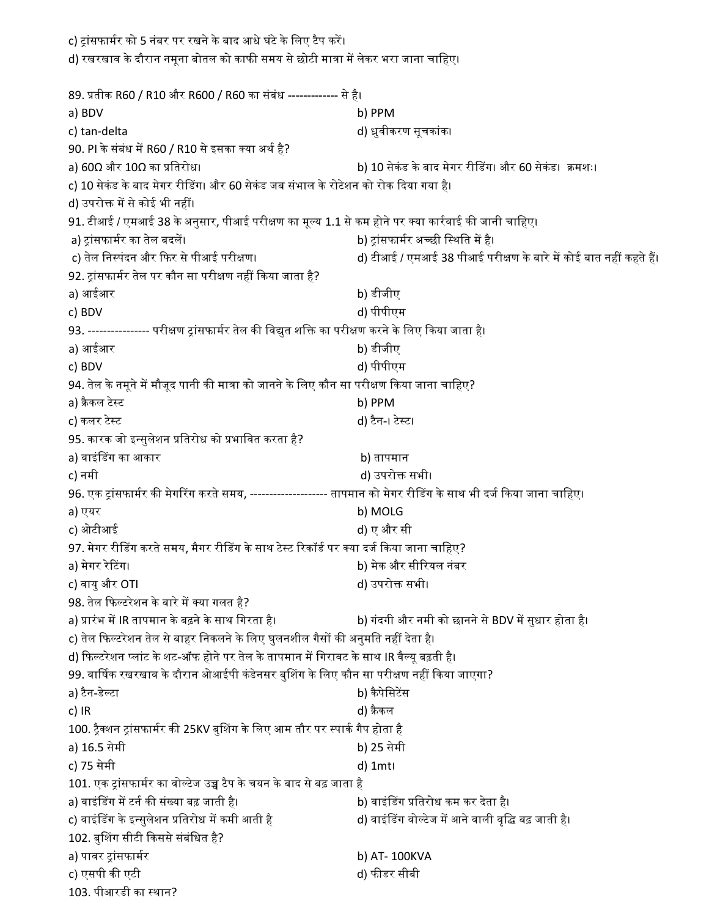c) ट्रांसफार्मर को 5 नंबर पर रखने के बाद आधे घंटे के लिए टैप करें। d) रखरखाव के दौरान नमूना बोतल को काफी समय से छोटी मात्रा में लेकर भरा जाना चाहिए। 89. प्रतीक R60 / R10 और R600 / R60 का संबंध ------------- से है। a) BDV b) PPM c) tan-delta d) ᮥुवीकरण सूचकांक। 90. PI के संबंध में R60 / R10 से इसका क्या अर्थ है? a) 60Ω और 10Ω का ᮧितरोध। b) 10 सेकं ड के बाद मेगर रीᳲडग। और 60 सेकं ड। ᮓमशः। c) 10 सेकंड के बाद मेगर रीडिंग। और 60 सेकंड जब संभाल के रोटेशन को रोक दिया गया है। d) उपरोक्त में से कोई भी नहीं। 91. टीआई / एमआई 38 के अनुसार, पीआई परीक्षण का मूल्य 1.1 से कम होने पर क्या कार्रवाई की जानी चाहिए। a) ᮝांसफामᭅर का तेल बदलᱶ। b) ᮝांसफामᭅर अ᭒छी ि᭭थित मᱶ है। c) तेल निस्पंदन और फिर से पीआई परीक्षण। die die die die distrikt versies and we die die state of the state in t 92. ट्रांसफार्मर तेल पर कौन सा परीक्षण नहीं किया जाता है? a) आईआर b) डीजीए c) BDV d) पीपीएम 93. ---------------- परीक्षण ट्रांसफार्मर तेल की विद्युत शक्ति का परीक्षण करने के लिए किया जाता है। a) आईआर b) डीजीए c) BDV d) पीपीएम 94. तेल के नमूने में मौजूद पानी की मात्रा को जानने के लिए कौन सा परीक्षण किया जाना चाहिए? a) क्रैकल टेस्ट b) PPM c) कलर टेस्ट d) टैन-। टेस्ट। 95. कारक जो इन्सुलेशन प्रतिरोध को प्रभावित करता है? a) वाइंडिंग का आकार b) तापमान c) नमी d) उपरोᲦ सभी। 96. एक ट्रांसफार्मर की मेगरिंग करते समय, --------------------- तापमान को मेगर रीडिंग के साथ भी दर्ज किया जाना चाहिए। a) एयर b) MOLG c) ओटीआई d) ए और सी 97. मेगर रीडिंग करते समय, मैगर रीडिंग के साथ टेस्ट रिकॉर्ड पर क्या दर्ज किया जाना चाहिए? a) मेगर रेᳳटग। b) मेक और सीᳯरयल नंबर c) वायु और OTI d) उपरोक्त सभी। 98. तेल फिल्टरेशन के बारे में क्या गलत है? a) प्रारंभ में IR तापमान के बढ़ने के साथ गिरता है। b) गंदगी और नमी को छानने से BDV में सुधार होता है। c) तेल फिल्टरेशन तेल से बाहर निकलने के लिए घुलनशील गैसों की अनुमति नहीं देता है। d) फिल्टरेशन प्लांट के शट-ऑफ होने पर तेल के तापमान में गिरावट के साथ IR वैल्यू बढ़ती है। 99. वार्षिक रखरखाव के दौरान ओआईपी कंडेनसर बुशिंग के लिए कौन सा परीक्षण नहीं किया जाएगा? a) टैन-डे᭨टा b) कै पेिसटᱶस c) IR d) क्रैकल 100. ट्रैक्शन ट्रांसफार्मर की 25KV बुशिंग के लिए आम तौर पर स्पार्क गैप होता है a) 16.5 सेमी b) 25 सेमी c) 75 सेमी d) 1mt। 101. एक ट्रांसफार्मर का वोल्टेज उच्च टैप के चयन के बाद से बढ़ जाता है a) वाइंडिंग में टर्न की संख्या बढ़ जाती है। b) वाइंडिंग प्रतिरोध कम कर देता है। c) वाइंडिंग के इन्सुलेशन प्रतिरोध में कमी आती है d) वाइंडिंग वोल्टेज में आने वाली वृद्धि बढ़ जाती है। 102. बुशिंग सीटी किससे संबंधित है? a) पावर ᮝांसफामᭅर b) AT- 100KVA c) एसपी की एटी बाद को बाद करने के बाद पर पार्टी की उन्हें पर पार्टी की उन्हें पर पार्टी की जाता है। यहां सीबी 103. पीआरडी का ᭭थान?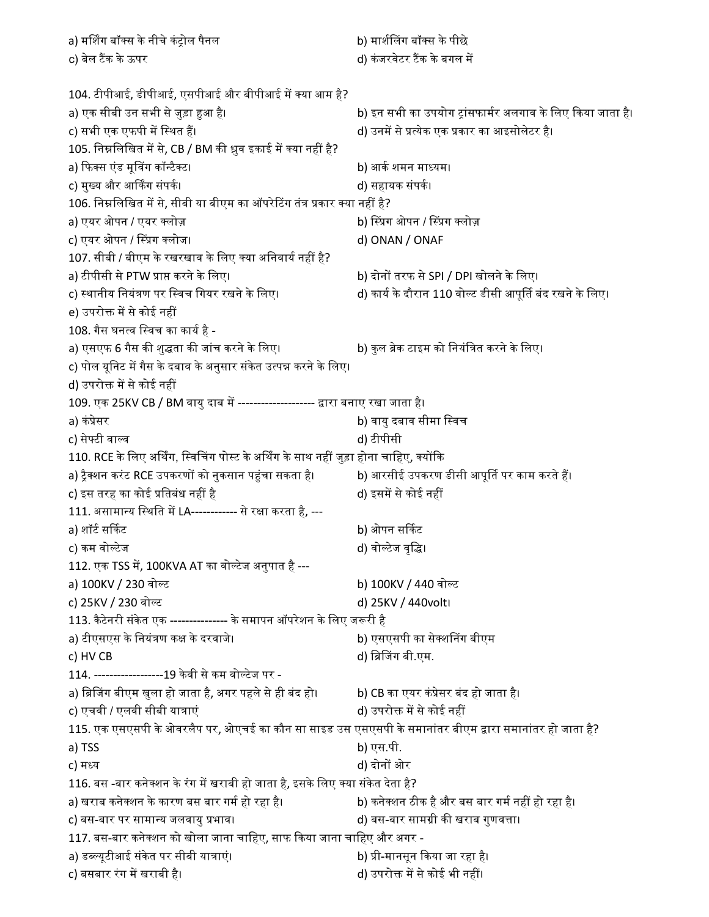a) मर्शिग बॉक्स के नीचे कंट्रोल पैनल b) मार्शलिंग बॉक्स के पीछे c) बेल टैंक के ऊपर d) कंजरवेटर टैंक के बगल में 104. टीपीआई, डीपीआई, एसपीआई और बीपीआई में क्या आम है? a) एक सीबी उन सभी से जुड़ा ᱟआ ह।ै b) इन सभी का उपयोग ᮝांसफामᭅर अलगाव के िलए ᳰकया जाता ह।ै c) सभी एक एफपी में स्थित हैं। d) उनमें से प्रत्येक एक प्रकार का आइसोलेटर है। 105. निम्नलिखित में से, CB / BM की ध्रुव इकाई में क्या नहीं है? a) ᳰफस एंड मूᳲवग कॉ᭠टैट। b) आकᭅ शमन मा᭟यम। c) मुय और आकग संपकᭅ। d) सहायक संपकᭅ। 106. निम्नलिखित में से, सीबी या बीएम का ऑपरेटिंग तंत्र प्रकार क्या नहीं है? a) एयर ओपन / एयर लोज़ b) ᳲ᭭ᮧग ओपन / ᳲ᭭ᮧग लोज़ c) एयर ओपन / ᳲ᭭ᮧग लोज। d) ONAN / ONAF 107. सीबी / बीएम के रखरखाव के लिए क्या अनिवार्य नहीं है? a) टीपीसी से PTW प्राप्त करने के लिए। b) दोनों तरफ से SPI / DPI खोलने के लिए। c) स्थानीय नियंत्रण पर स्विच गियर रखने के लिए। d) कार्य के दौरान 110 वोल्ट डीसी आपूर्ति बंद रखने के लिए। e) उपरोक्त में से कोई नहीं 108. गैस घनत्व स्विच का कार्य है a) एसएफ 6 गैस की शुद्धता की जांच करने के लिए। b) कुल ब्रेक टाइम को नियंत्रित करने के लिए। c) पोल यूनिट में गैस के दबाव के अनुसार संकेत उत्पन्न करने के लिए। d) उपरोक्त में से कोई नहीं 109. एक 25KV CB / BM वायु दाब में --------------------- द्वारा बनाए रखा जाता है। a) कंप्रेसर b) वायु दबाव सीमा स्विच c) सेफ्टी वाल्व d) टीपीसी 110. RCE के लिए अर्थिंग, स्विचिंग पोस्ट के अर्थिंग के साथ नहीं जुड़ा होना चाहिए, क्योंकि a) ट्रैक्शन करंट RCE उपकरणों को नुकसान पहुंचा सकता है। b) आरसीई उपकरण डीसी आपूर्ति पर काम करते हैं। c) इस तरह का कोई प्रतिबंध नहीं है d) इसमें से कोई नहीं 111. असामान्य स्थिति में LA------------ से रक्षा करता है, -- a) शॉटᭅ स᳸कट b) ओपन स᳸कट c) कम वो᭨टेज d) वो᭨टेज वृि। 112. एक TSS में, 100KVA AT का वोल्टेज अनुपात है --a) 100KV / 230 वोल्ट b) 100KV / 440 वोल्ट c) 25KV / 230 वो᭨ट d) 25KV / 440volt। 113. कैटेनरी संकेत एक --------------- के समापन ऑपरेशन के लिए जरूरी है a) टीएसएस के िनयंᮢण कᭃ के दरवाजे। b) एसएसपी का सेशᳲनग बीएम c) HV CB d) ब्रिजिंग बी.एम. 114. ------------------19 के वी से कम वो᭨टेज पर a) ब्रिजिंग बीएम खुला हो जाता है, अगर पहले से ही बंद हो। b) CB का एयर कंप्रेसर बंद हो जाता है। c) एचवी / एलवी सीबी यात्राएं d) उपरोक्त में से कोई नहीं 115. एक एसएसपी के ओवरलैप पर, ओएचई का कौन सा साइड उस एसएसपी के समानांतर बीएम द्वारा समानांतर हो जाता है? a) TSS b) एस.पी. c) मध्य d) दोनों ओर 116. बस -बार कनेक्शन के रंग में खराबी हो जाता है, इसके लिए क्या संकेत देता है? a) खराब कनेक्शन के कारण बस बार गर्म हो रहा है। b) कनेक्शन ठीक है और बस बार गर्म नहीं हो रहा है। c) बस-बार पर सामा᭠य जलवायु ᮧभाव। d) बस-बार सामᮕी कᳱ खराब गुणवᱫा। 117. बस-बार कनेक्शन को खोला जाना चाहिए, साफ किया जाना चाहिए और अगर a) डब्ल्यूटीआई संकेत पर सीबी यात्राएं। b) प्री-मानसून किया जा रहा है। c) बसबार रंग में खराबी है। d) उपरोक्त में से कोई भी नहीं।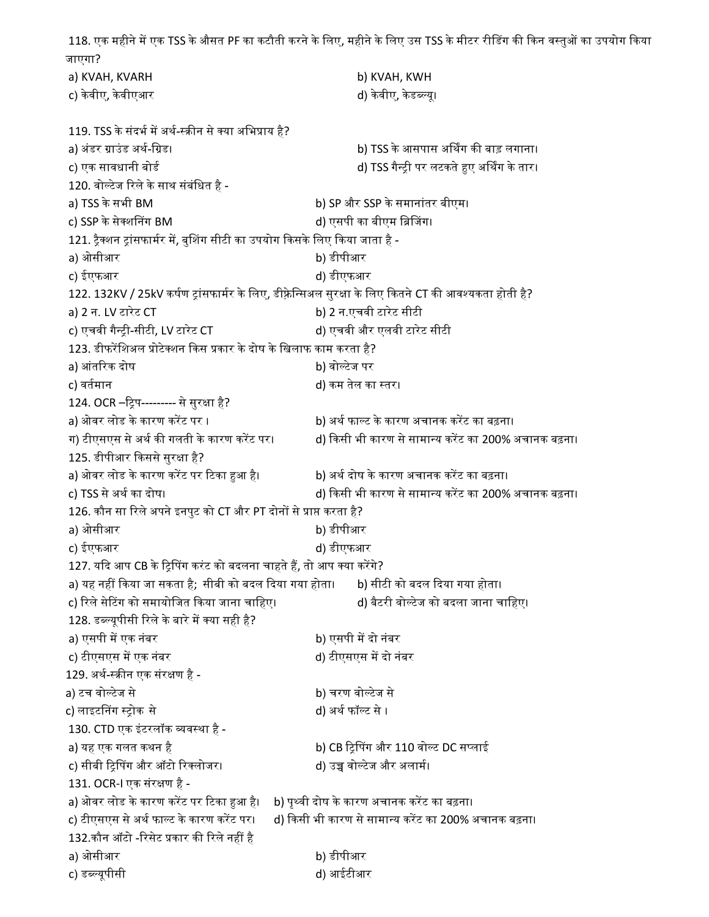118. एक महीने में एक TSS के औसत PF का कटौती करने के लिए, महीने के लिए उस TSS के मीटर रीडिंग की किन वस्तुओं का उपयोग किया जाएगा? a) KVAH, KVARH b) KVAH, KWH c) केवीए, केवीएआर d) केवीए, केडब्ल्यू। 119. TSS के संदर्भ में अर्थ-स्क्रीन से क्या अभिप्राय है? a) अंडर ᮕाउंड अथᭅ-िᮕड। b) TSS के आसपास अᳺथग कᳱ बाड़ लगाना। c) एक सावधानी बोर्ड d) TSS गैन्टी पर लटकते हुए अर्थिंग के तार। 120. वोल्टेज रिले के साथ संबंधित है a) TSS के सभी BM b) SP और SSP के समानांतर बीएम। c) SSP के सेक्शनिंग BM d) एसपी का बीएम ब्रिजिंग। 121. ट्रैक्शन ट्रांसफार्मर में, बुशिंग सीटी का उपयोग किसके लिए किया जाता है a) ओसीआर b) डीपीआर c) ईएफआर d) डीएफआर 122. 132KV / 25kV कर्षण ट्रांसफार्मर के लिए, डीफ़्रेन्सिअल सुरक्षा के लिए कितने CT की आवश्यकता होती है? a) 2 न. LV टारेट CT b) 2 न.एचवी टारेट सीटी c) एचवी गै᭠ᮝी-सीटी, LV टारेट CT d) एचवी और एलवी टारेट सीटी 123. डीफरेंशिअल प्रोटेक्शन किस प्रकार के दोष के खिलाफ काम करता है? a) आंतरिक दोष b) वोल्टेज पर c) वर्तमान d) कम तेल का स्तर। 124. OCR –ट्रिप--------- से सुरक्षा है? a) ओवर लोड के कारण करेंट पर । http://www.bb/ अर्थ फाल्ट के कारण अचानक करेंट का बढ़ना। ग) टीएसएस से अर्थ की गलती के कारण करेंट पर। and ) किसी भी कारण से सामान्य करेंट का 200% अचानक बढ़ना। 125. डीपीआर किससे सुरक्षा है? a) ओवर लोड के कारण करेंट पर टिका हुआ है। b) अर्थ दोष के कारण अचानक करेंट का बढ़ना। c) TSS से अर्थ का दोष। d) किसी भी कारण से सामान्य करेंट का 200% अचानक बढ़ना। 126. कौन सा रिले अपने इनपुट को CT और PT दोनों से प्राप्त करता है? a) ओसीआर b) डीपीआर c) ईएफआर d) डीएफआर 127. यदि आप CB के ट्रिपिंग करंट को बदलना चाहते हैं, तो आप क्या करेंगे? a) यह नहीं किया जा सकता है; सीबी को बदल दिया गया होता। b) सीटी को बदल दिया गया होता। c) ᳯरले सेᳳटग को समायोिजत ᳰकया जाना चािहए। d) बैटरी वो᭨टेज को बदला जाना चािहए। 128. डब्ल्यूपीसी रिले के बारे में क्या सही है? a) एसपी में एक नंबर b) एसपी में दो नंबर c) टीएसएस में एक नंबर d) टीएसएस में दो नंबर 129. अर्थ-स्क्रीन एक संरक्षण है a) टच वोल्टेज से b) चरण वोल्टेज से c) लाइटनिंग स्ट्रोक से d) अर्थ फॉल्ट से । 130. CTD एक इंटरलॉक व्यवस्था है a) यह एक गलत कथन है b) CB ᳯᮝᳲपग और 110 वो᭨ट DC स᭡लाई c) सीबी टिपिंग और ऑटो रिक्लोजर। d) उच्च वोल्टेज और अलामी। 131. OCR-I एक संरक्षण है a) ओवर लोड के कारण करेंट पर टिका हुआ है। b) पृथ्वी दोष के कारण अचानक करेंट का बढ़ना। c) टीएसएस से अर्थ फाल्ट के कारण करेंट पर। d) किसी भी कारण से सामान्य करेंट का 200% अचानक बढ़ना। 132.कौन ऑटो -रिसेट प्रकार की रिले नहीं है a) ओसीआर b) डीपीआर c) ड᭣᭨यूपीसी d) आईटीआर